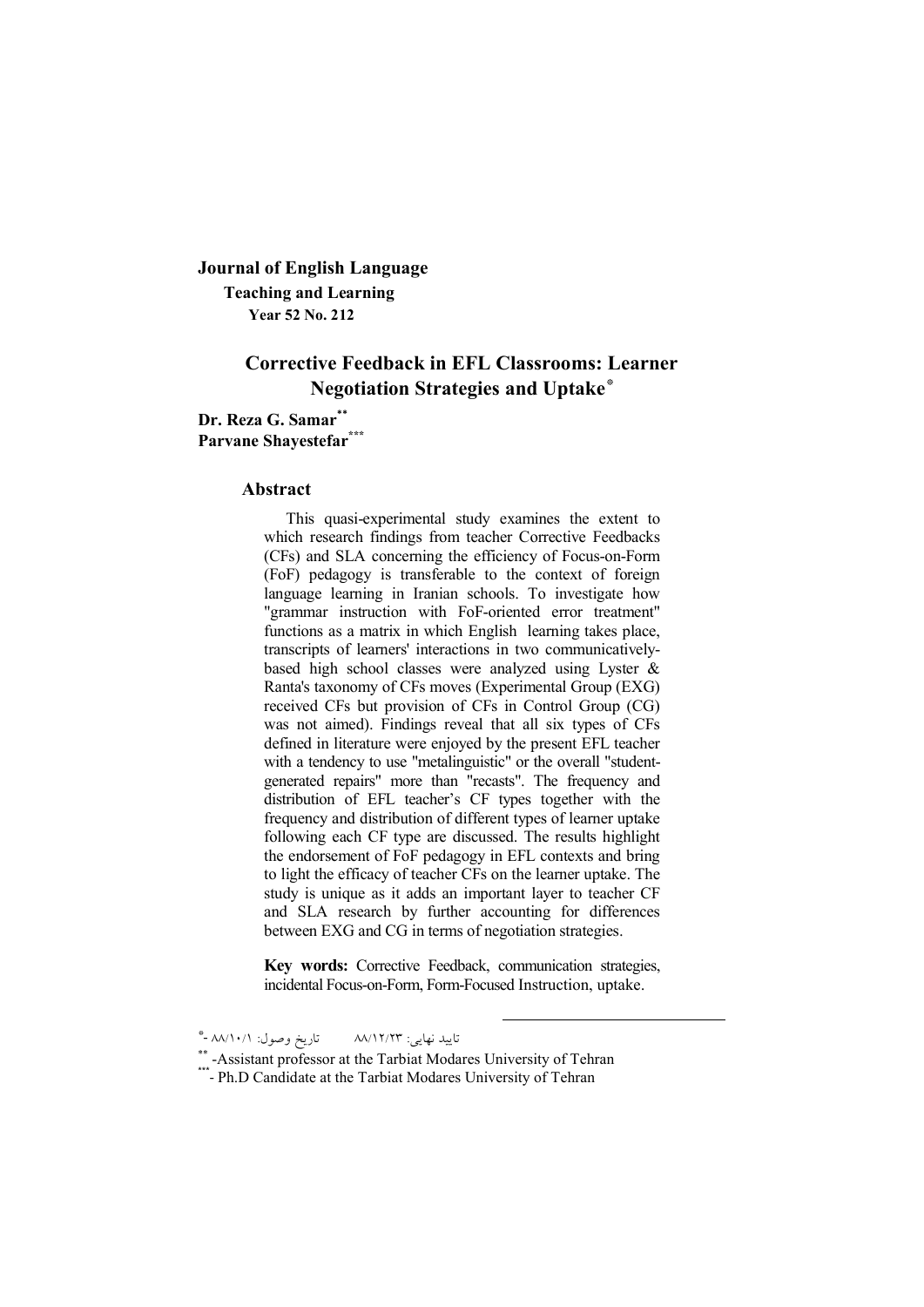# **Journal of English Language Teaching and Learning Year 52 No. 212**

# **Corrective Feedback in EFL Classrooms: Learner Negotiation Strategies and Uptake\***

**Dr. Reza G. Samar\*\* Parvane Shayestefar\*\*\***

#### **Abstract**

This quasi-experimental study examines the extent to which research findings from teacher Corrective Feedbacks (CFs) and SLA concerning the efficiency of Focus-on-Form (FoF) pedagogy is transferable to the context of foreign language learning in Iranian schools. To investigate how "grammar instruction with FoF-oriented error treatment" functions as a matrix in which English learning takes place, transcripts of learners' interactions in two communicativelybased high school classes were analyzed using Lyster & Ranta's taxonomy of CFs moves (Experimental Group (EXG) received CFs but provision of CFs in Control Group (CG) was not aimed). Findings reveal that all six types of CFs defined in literature were enjoyed by the present EFL teacher with a tendency to use "metalinguistic" or the overall "studentgenerated repairs" more than "recasts". The frequency and distribution of EFL teacher's CF types together with the frequency and distribution of different types of learner uptake following each CF type are discussed. The results highlight the endorsement of FoF pedagogy in EFL contexts and bring to light the efficacy of teacher CFs on the learner uptake. The study is unique as it adds an important layer to teacher CF and SLA research by further accounting for differences between EXG and CG in terms of negotiation strategies.

**Key words:** Corrective Feedback, communication strategies, incidental Focus-on-Form, Form-Focused Instruction, uptake.

<u>.</u>

تایید نهایی: ۸۸/۱۲/۲۳ تاریخ وصول: ۸۸/۱۰/۱ -\*

\*\* -Assistant professor at the Tarbiat Modares University of Tehran \*\*\*- Ph.D Candidate at the Tarbiat Modares University of Tehran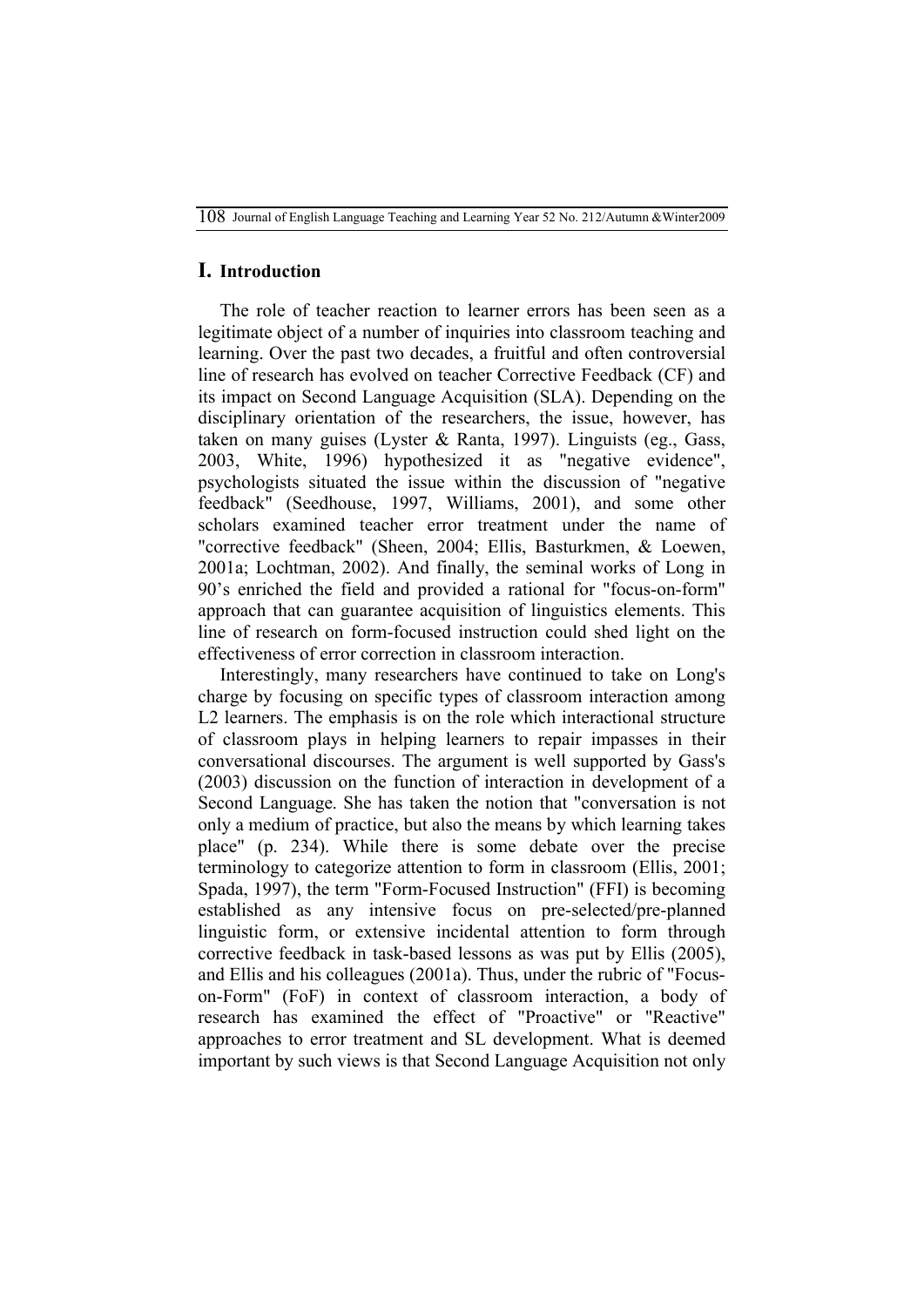## **I. Introduction**

The role of teacher reaction to learner errors has been seen as a legitimate object of a number of inquiries into classroom teaching and learning. Over the past two decades, a fruitful and often controversial line of research has evolved on teacher Corrective Feedback (CF) and its impact on Second Language Acquisition (SLA). Depending on the disciplinary orientation of the researchers, the issue, however, has taken on many guises (Lyster & Ranta, 1997). Linguists (eg., Gass, 2003, White, 1996) hypothesized it as "negative evidence", psychologists situated the issue within the discussion of "negative feedback" (Seedhouse, 1997, Williams, 2001), and some other scholars examined teacher error treatment under the name of "corrective feedback" (Sheen, 2004; Ellis, Basturkmen, & Loewen, 2001a; Lochtman, 2002). And finally, the seminal works of Long in 90's enriched the field and provided a rational for "focus-on-form" approach that can guarantee acquisition of linguistics elements. This line of research on form-focused instruction could shed light on the effectiveness of error correction in classroom interaction.

Interestingly, many researchers have continued to take on Long's charge by focusing on specific types of classroom interaction among L2 learners. The emphasis is on the role which interactional structure of classroom plays in helping learners to repair impasses in their conversational discourses. The argument is well supported by Gass's (2003) discussion on the function of interaction in development of a Second Language. She has taken the notion that "conversation is not only a medium of practice, but also the means by which learning takes place" (p. 234). While there is some debate over the precise terminology to categorize attention to form in classroom (Ellis, 2001; Spada, 1997), the term "Form-Focused Instruction" (FFI) is becoming established as any intensive focus on pre-selected/pre-planned linguistic form, or extensive incidental attention to form through corrective feedback in task-based lessons as was put by Ellis (2005), and Ellis and his colleagues (2001a). Thus, under the rubric of "Focuson-Form" (FoF) in context of classroom interaction, a body of research has examined the effect of "Proactive" or "Reactive" approaches to error treatment and SL development. What is deemed important by such views is that Second Language Acquisition not only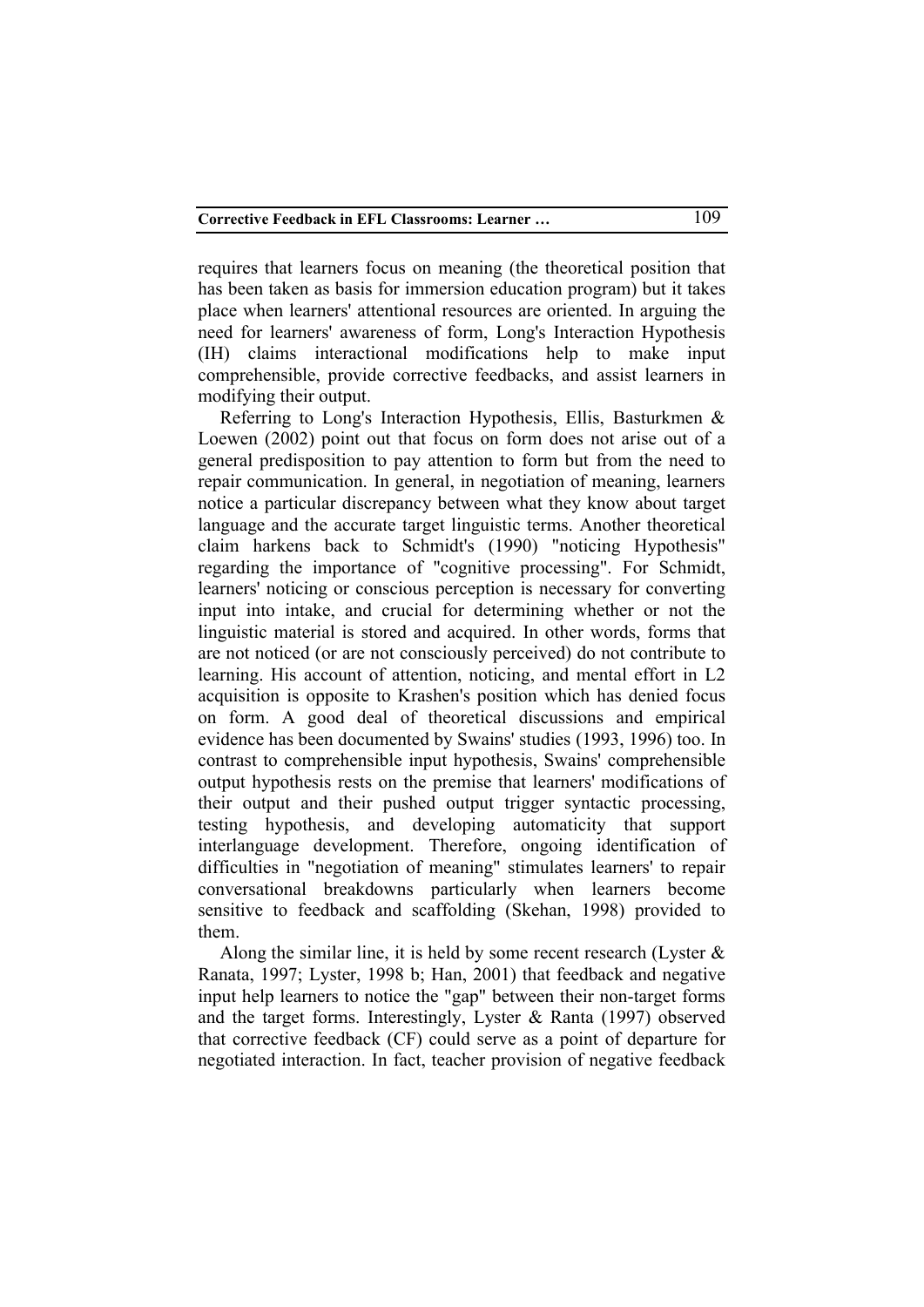requires that learners focus on meaning (the theoretical position that has been taken as basis for immersion education program) but it takes place when learners' attentional resources are oriented. In arguing the need for learners' awareness of form, Long's Interaction Hypothesis (IH) claims interactional modifications help to make input comprehensible, provide corrective feedbacks, and assist learners in modifying their output.

Referring to Long's Interaction Hypothesis, Ellis, Basturkmen & Loewen (2002) point out that focus on form does not arise out of a general predisposition to pay attention to form but from the need to repair communication. In general, in negotiation of meaning, learners notice a particular discrepancy between what they know about target language and the accurate target linguistic terms. Another theoretical claim harkens back to Schmidt's (1990) "noticing Hypothesis" regarding the importance of "cognitive processing". For Schmidt, learners' noticing or conscious perception is necessary for converting input into intake, and crucial for determining whether or not the linguistic material is stored and acquired. In other words, forms that are not noticed (or are not consciously perceived) do not contribute to learning. His account of attention, noticing, and mental effort in L2 acquisition is opposite to Krashen's position which has denied focus on form. A good deal of theoretical discussions and empirical evidence has been documented by Swains' studies (1993, 1996) too. In contrast to comprehensible input hypothesis, Swains' comprehensible output hypothesis rests on the premise that learners' modifications of their output and their pushed output trigger syntactic processing, testing hypothesis, and developing automaticity that support interlanguage development. Therefore, ongoing identification of difficulties in "negotiation of meaning" stimulates learners' to repair conversational breakdowns particularly when learners become sensitive to feedback and scaffolding (Skehan, 1998) provided to them.

Along the similar line, it is held by some recent research (Lyster  $\&$ Ranata, 1997; Lyster, 1998 b; Han, 2001) that feedback and negative input help learners to notice the "gap" between their non-target forms and the target forms. Interestingly, Lyster & Ranta (1997) observed that corrective feedback (CF) could serve as a point of departure for negotiated interaction. In fact, teacher provision of negative feedback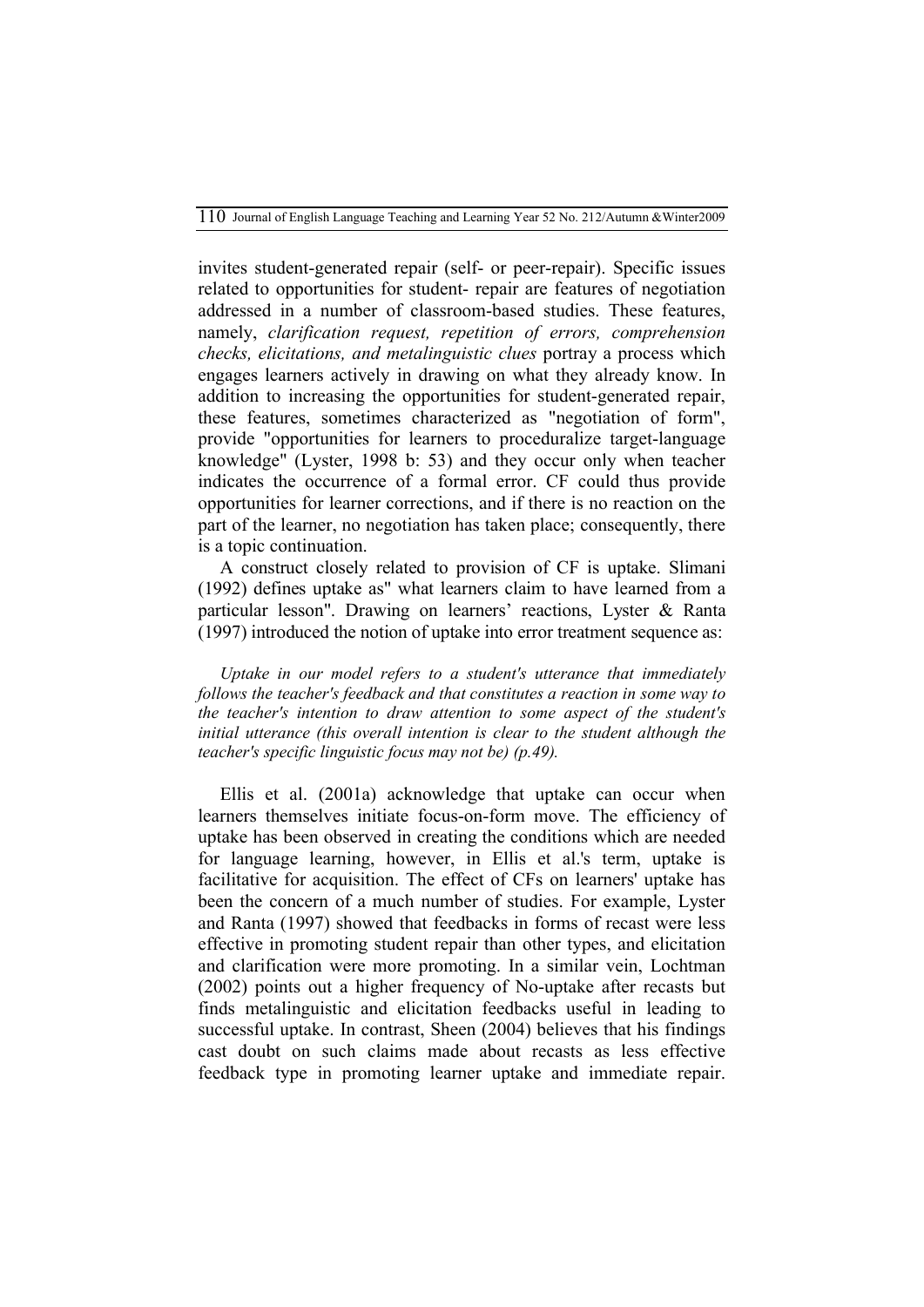invites student-generated repair (self- or peer-repair). Specific issues related to opportunities for student- repair are features of negotiation addressed in a number of classroom-based studies. These features, namely, *clarification request, repetition of errors, comprehension checks, elicitations, and metalinguistic clues* portray a process which engages learners actively in drawing on what they already know. In addition to increasing the opportunities for student-generated repair, these features, sometimes characterized as "negotiation of form", provide "opportunities for learners to proceduralize target-language knowledge" (Lyster, 1998 b: 53) and they occur only when teacher indicates the occurrence of a formal error. CF could thus provide opportunities for learner corrections, and if there is no reaction on the part of the learner, no negotiation has taken place; consequently, there is a topic continuation.

A construct closely related to provision of CF is uptake. Slimani (1992) defines uptake as" what learners claim to have learned from a particular lesson". Drawing on learners' reactions, Lyster & Ranta (1997) introduced the notion of uptake into error treatment sequence as:

*Uptake in our model refers to a student's utterance that immediately follows the teacher's feedback and that constitutes a reaction in some way to the teacher's intention to draw attention to some aspect of the student's*  initial utterance (this overall intention is clear to the student although the *teacher's specific linguistic focus may not be) (p.49).*

Ellis et al. (2001a) acknowledge that uptake can occur when learners themselves initiate focus-on-form move. The efficiency of uptake has been observed in creating the conditions which are needed for language learning, however, in Ellis et al.'s term, uptake is facilitative for acquisition. The effect of CFs on learners' uptake has been the concern of a much number of studies. For example, Lyster and Ranta (1997) showed that feedbacks in forms of recast were less effective in promoting student repair than other types, and elicitation and clarification were more promoting. In a similar vein, Lochtman (2002) points out a higher frequency of No-uptake after recasts but finds metalinguistic and elicitation feedbacks useful in leading to successful uptake. In contrast, Sheen (2004) believes that his findings cast doubt on such claims made about recasts as less effective feedback type in promoting learner uptake and immediate repair.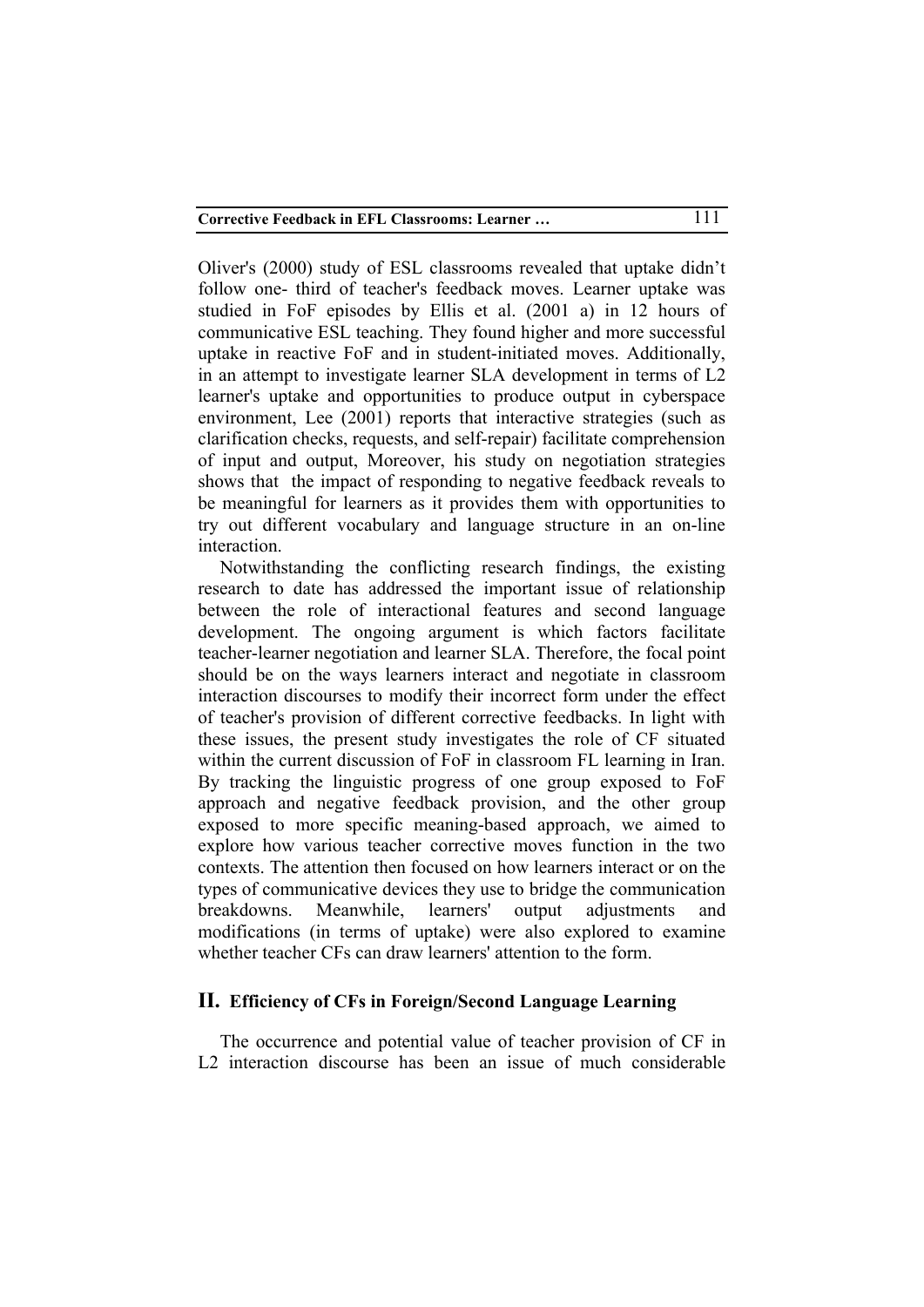Oliver's (2000) study of ESL classrooms revealed that uptake didn't follow one- third of teacher's feedback moves. Learner uptake was studied in FoF episodes by Ellis et al. (2001 a) in 12 hours of communicative ESL teaching. They found higher and more successful uptake in reactive FoF and in student-initiated moves. Additionally, in an attempt to investigate learner SLA development in terms of L2 learner's uptake and opportunities to produce output in cyberspace environment, Lee (2001) reports that interactive strategies (such as clarification checks, requests, and self-repair) facilitate comprehension of input and output, Moreover, his study on negotiation strategies shows that the impact of responding to negative feedback reveals to be meaningful for learners as it provides them with opportunities to try out different vocabulary and language structure in an on-line interaction.

Notwithstanding the conflicting research findings, the existing research to date has addressed the important issue of relationship between the role of interactional features and second language development. The ongoing argument is which factors facilitate teacher-learner negotiation and learner SLA. Therefore, the focal point should be on the ways learners interact and negotiate in classroom interaction discourses to modify their incorrect form under the effect of teacher's provision of different corrective feedbacks. In light with these issues, the present study investigates the role of CF situated within the current discussion of FoF in classroom FL learning in Iran. By tracking the linguistic progress of one group exposed to FoF approach and negative feedback provision, and the other group exposed to more specific meaning-based approach, we aimed to explore how various teacher corrective moves function in the two contexts. The attention then focused on how learners interact or on the types of communicative devices they use to bridge the communication breakdowns. Meanwhile, learners' output adjustments and modifications (in terms of uptake) were also explored to examine whether teacher CFs can draw learners' attention to the form.

### **II. Efficiency of CFs in Foreign/Second Language Learning**

The occurrence and potential value of teacher provision of CF in L<sub>2</sub> interaction discourse has been an issue of much considerable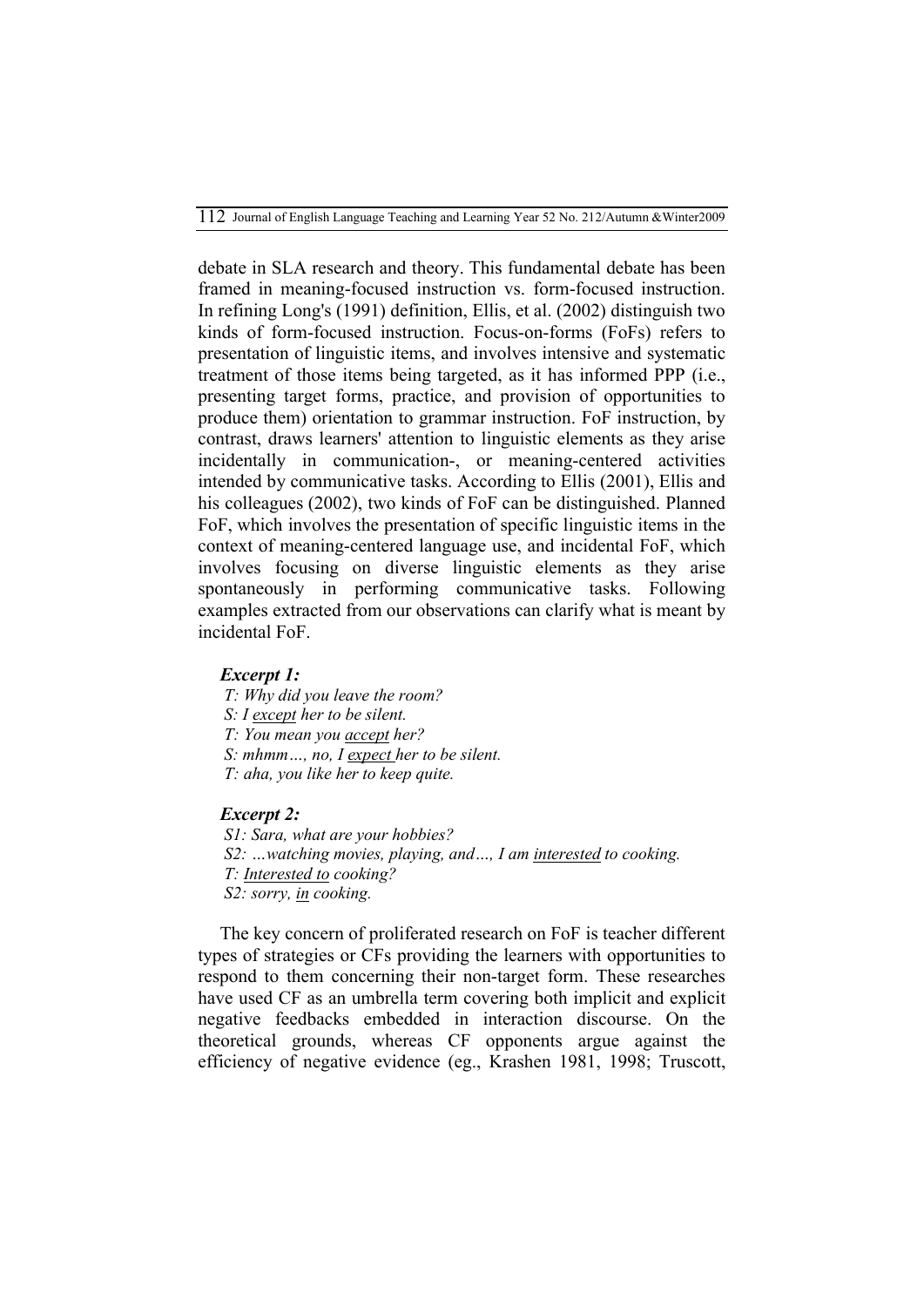debate in SLA research and theory. This fundamental debate has been framed in meaning-focused instruction vs. form-focused instruction. In refining Long's (1991) definition, Ellis, et al. (2002) distinguish two kinds of form-focused instruction. Focus-on-forms (FoFs) refers to presentation of linguistic items, and involves intensive and systematic treatment of those items being targeted, as it has informed PPP (i.e., presenting target forms, practice, and provision of opportunities to produce them) orientation to grammar instruction. FoF instruction, by contrast, draws learners' attention to linguistic elements as they arise incidentally in communication-, or meaning-centered activities intended by communicative tasks. According to Ellis (2001), Ellis and his colleagues (2002), two kinds of FoF can be distinguished. Planned FoF, which involves the presentation of specific linguistic items in the context of meaning-centered language use, and incidental FoF, which involves focusing on diverse linguistic elements as they arise spontaneously in performing communicative tasks. Following examples extracted from our observations can clarify what is meant by incidental FoF.

## *Excerpt 1:*

- *T: Why did you leave the room?*
- *S: I except her to be silent.*
- *T: You mean you accept her?*
- *S: mhmm…, no, I expect her to be silent.*
- *T: aha, you like her to keep quite.*

#### *Excerpt 2:*

 *S1: Sara, what are your hobbies? S2: …watching movies, playing, and…, I am interested to cooking. T: Interested to cooking? S2: sorry, in cooking.* 

The key concern of proliferated research on FoF is teacher different types of strategies or CFs providing the learners with opportunities to respond to them concerning their non-target form. These researches have used CF as an umbrella term covering both implicit and explicit negative feedbacks embedded in interaction discourse. On the theoretical grounds, whereas CF opponents argue against the efficiency of negative evidence (eg., Krashen 1981, 1998; Truscott,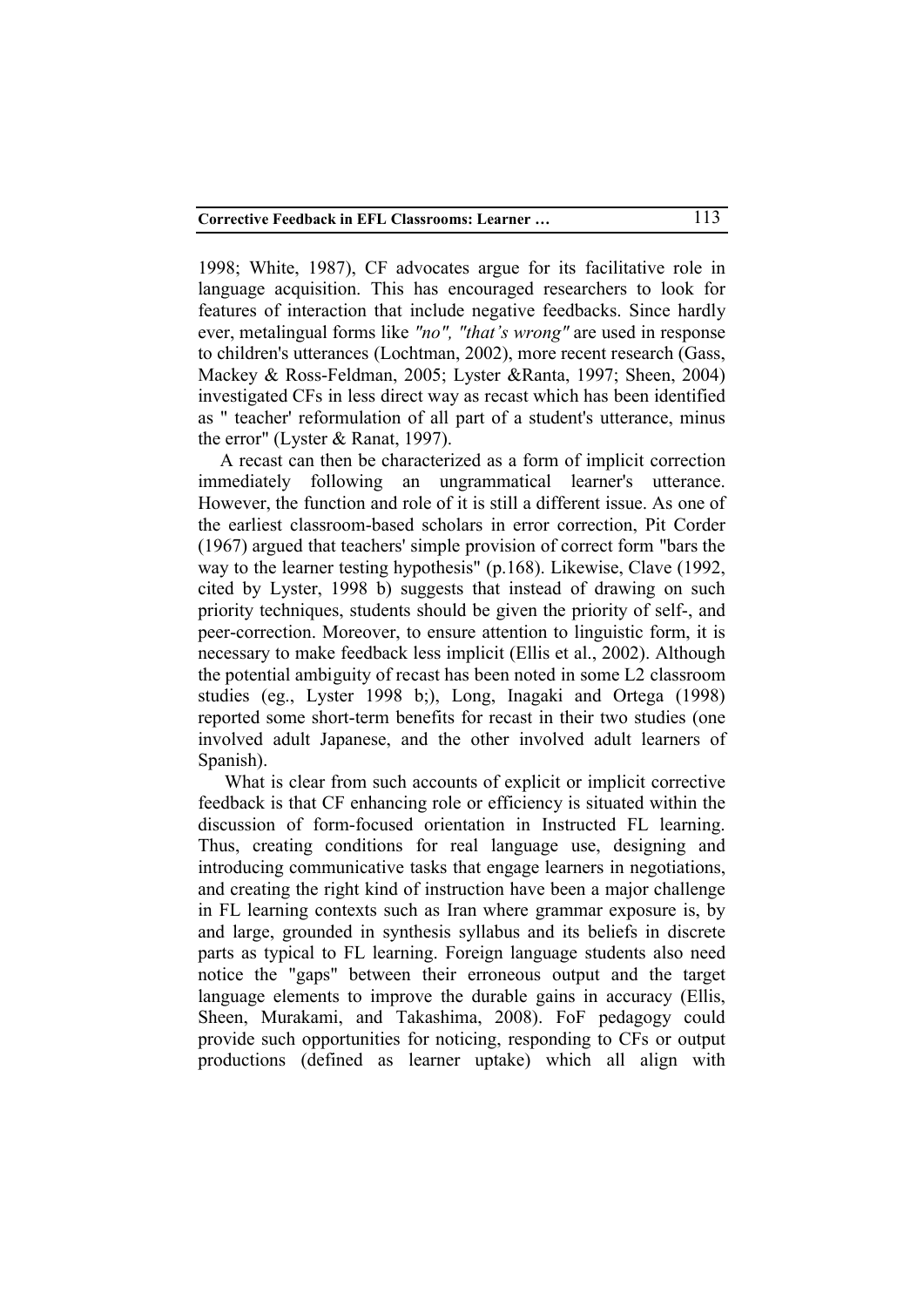1998; White, 1987), CF advocates argue for its facilitative role in language acquisition. This has encouraged researchers to look for features of interaction that include negative feedbacks. Since hardly ever, metalingual forms like *"no", "that's wrong"* are used in response to children's utterances (Lochtman, 2002), more recent research (Gass, Mackey & Ross-Feldman, 2005; Lyster &Ranta, 1997; Sheen, 2004) investigated CFs in less direct way as recast which has been identified as " teacher' reformulation of all part of a student's utterance, minus the error" (Lyster & Ranat, 1997).

A recast can then be characterized as a form of implicit correction immediately following an ungrammatical learner's utterance. However, the function and role of it is still a different issue. As one of the earliest classroom-based scholars in error correction, Pit Corder (1967) argued that teachers' simple provision of correct form "bars the way to the learner testing hypothesis" (p.168). Likewise, Clave (1992, cited by Lyster, 1998 b) suggests that instead of drawing on such priority techniques, students should be given the priority of self-, and peer-correction. Moreover, to ensure attention to linguistic form, it is necessary to make feedback less implicit (Ellis et al., 2002). Although the potential ambiguity of recast has been noted in some L2 classroom studies (eg., Lyster 1998 b;), Long, Inagaki and Ortega (1998) reported some short-term benefits for recast in their two studies (one involved adult Japanese, and the other involved adult learners of Spanish).

 What is clear from such accounts of explicit or implicit corrective feedback is that CF enhancing role or efficiency is situated within the discussion of form-focused orientation in Instructed FL learning. Thus, creating conditions for real language use, designing and introducing communicative tasks that engage learners in negotiations, and creating the right kind of instruction have been a major challenge in FL learning contexts such as Iran where grammar exposure is, by and large, grounded in synthesis syllabus and its beliefs in discrete parts as typical to FL learning. Foreign language students also need notice the "gaps" between their erroneous output and the target language elements to improve the durable gains in accuracy (Ellis, Sheen, Murakami, and Takashima, 2008). FoF pedagogy could provide such opportunities for noticing, responding to CFs or output productions (defined as learner uptake) which all align with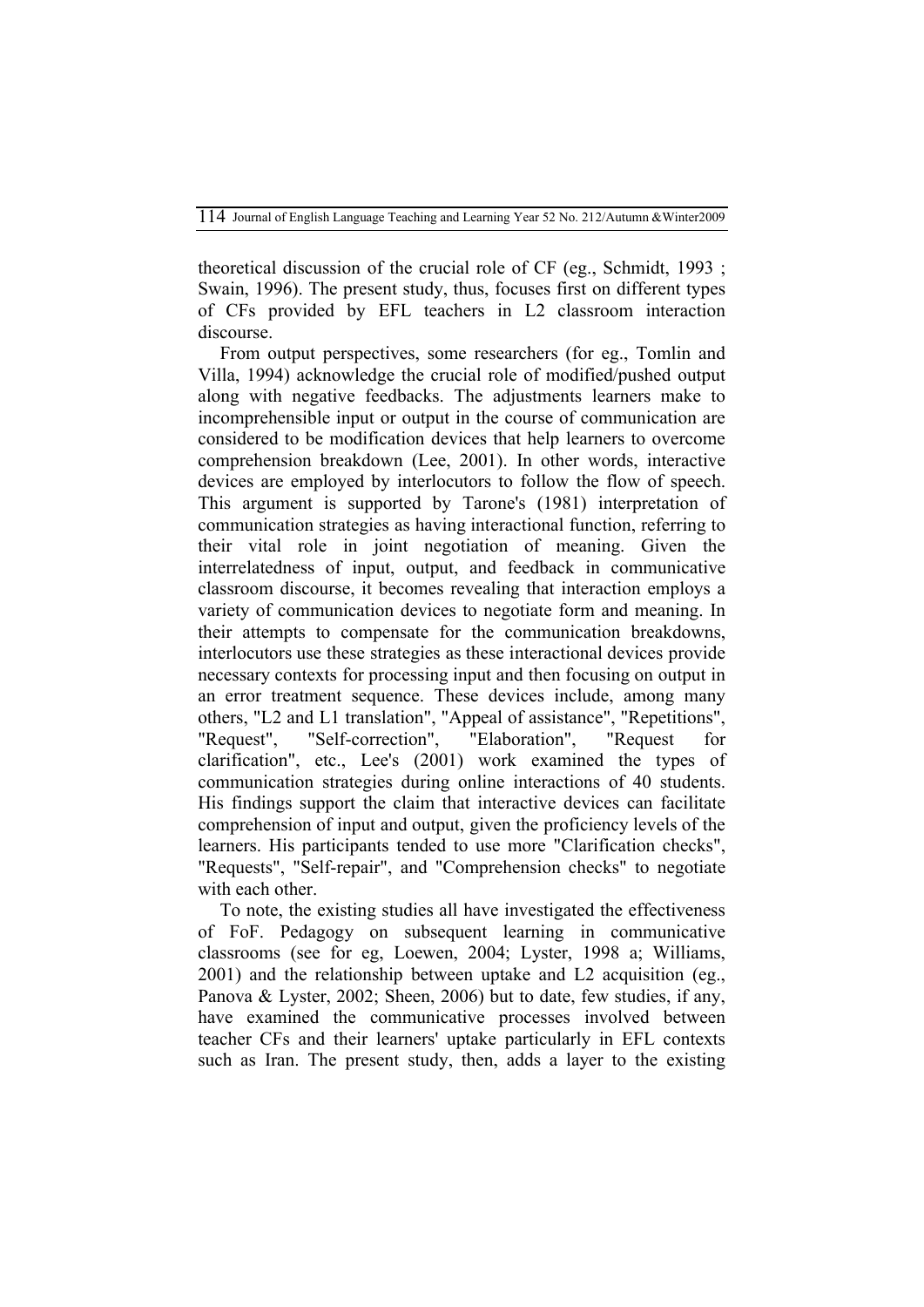theoretical discussion of the crucial role of CF (eg., Schmidt, 1993 ; Swain, 1996). The present study, thus, focuses first on different types of CFs provided by EFL teachers in L2 classroom interaction discourse.

From output perspectives, some researchers (for eg., Tomlin and Villa, 1994) acknowledge the crucial role of modified/pushed output along with negative feedbacks. The adjustments learners make to incomprehensible input or output in the course of communication are considered to be modification devices that help learners to overcome comprehension breakdown (Lee, 2001). In other words, interactive devices are employed by interlocutors to follow the flow of speech. This argument is supported by Tarone's (1981) interpretation of communication strategies as having interactional function, referring to their vital role in joint negotiation of meaning. Given the interrelatedness of input, output, and feedback in communicative classroom discourse, it becomes revealing that interaction employs a variety of communication devices to negotiate form and meaning. In their attempts to compensate for the communication breakdowns, interlocutors use these strategies as these interactional devices provide necessary contexts for processing input and then focusing on output in an error treatment sequence. These devices include, among many others, "L2 and L1 translation", "Appeal of assistance", "Repetitions", "Request", "Self-correction", "Elaboration", "Request for clarification", etc., Lee's (2001) work examined the types of communication strategies during online interactions of 40 students. His findings support the claim that interactive devices can facilitate comprehension of input and output, given the proficiency levels of the learners. His participants tended to use more "Clarification checks", "Requests", "Self-repair", and "Comprehension checks" to negotiate with each other.

To note, the existing studies all have investigated the effectiveness of FoF. Pedagogy on subsequent learning in communicative classrooms (see for eg, Loewen, 2004; Lyster, 1998 a; Williams, 2001) and the relationship between uptake and L2 acquisition (eg., Panova & Lyster, 2002; Sheen, 2006) but to date, few studies, if any, have examined the communicative processes involved between teacher CFs and their learners' uptake particularly in EFL contexts such as Iran. The present study, then, adds a layer to the existing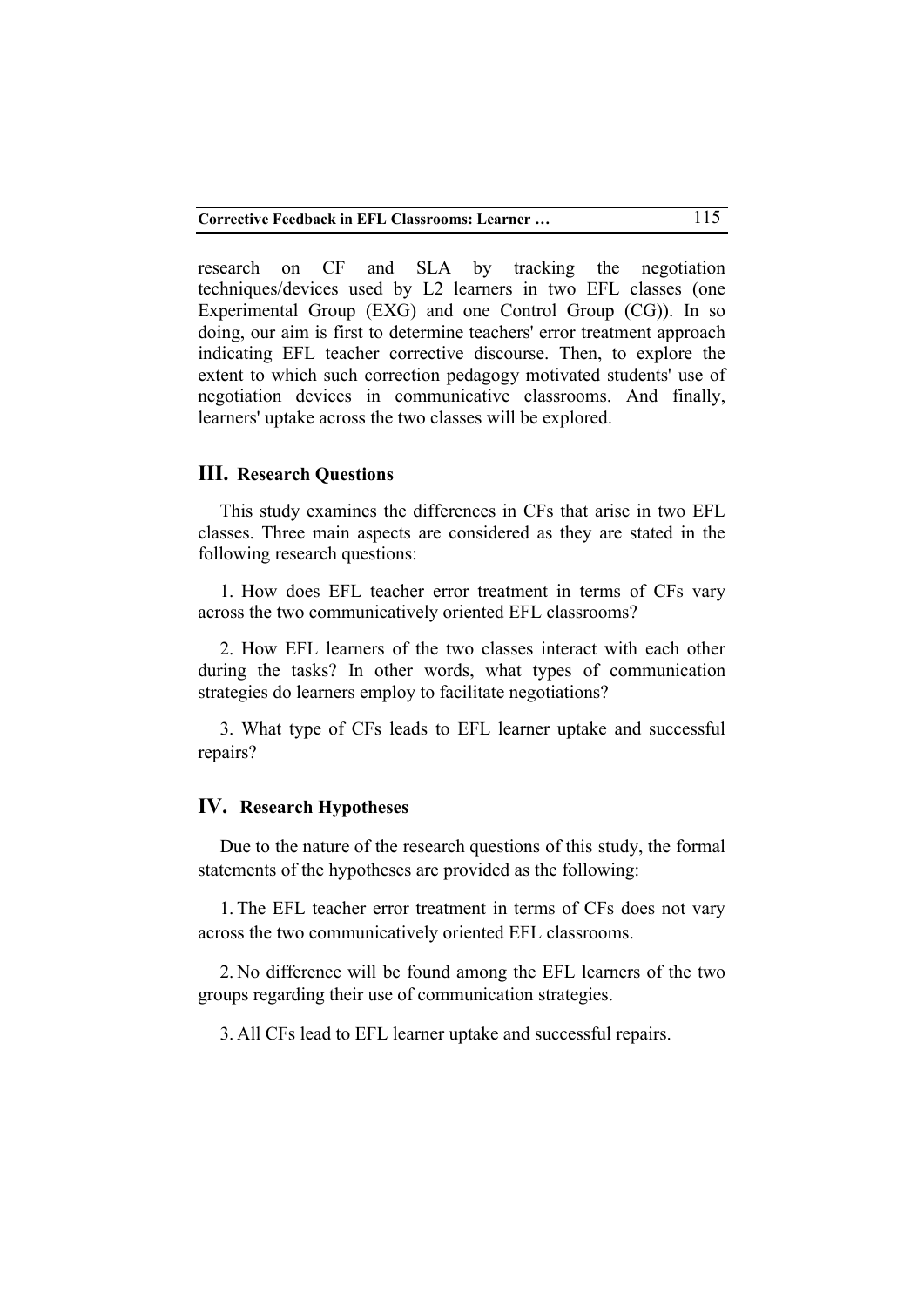research on CF and SLA by tracking the negotiation techniques/devices used by L2 learners in two EFL classes (one Experimental Group (EXG) and one Control Group (CG)). In so doing, our aim is first to determine teachers' error treatment approach indicating EFL teacher corrective discourse. Then, to explore the extent to which such correction pedagogy motivated students' use of negotiation devices in communicative classrooms. And finally, learners' uptake across the two classes will be explored.

#### **III. Research Questions**

This study examines the differences in CFs that arise in two EFL classes. Three main aspects are considered as they are stated in the following research questions:

1. How does EFL teacher error treatment in terms of CFs vary across the two communicatively oriented EFL classrooms?

2. How EFL learners of the two classes interact with each other during the tasks? In other words, what types of communication strategies do learners employ to facilitate negotiations?

3. What type of CFs leads to EFL learner uptake and successful repairs?

### **IV. Research Hypotheses**

Due to the nature of the research questions of this study, the formal statements of the hypotheses are provided as the following:

1. The EFL teacher error treatment in terms of CFs does not vary across the two communicatively oriented EFL classrooms.

2. No difference will be found among the EFL learners of the two groups regarding their use of communication strategies.

3. All CFs lead to EFL learner uptake and successful repairs.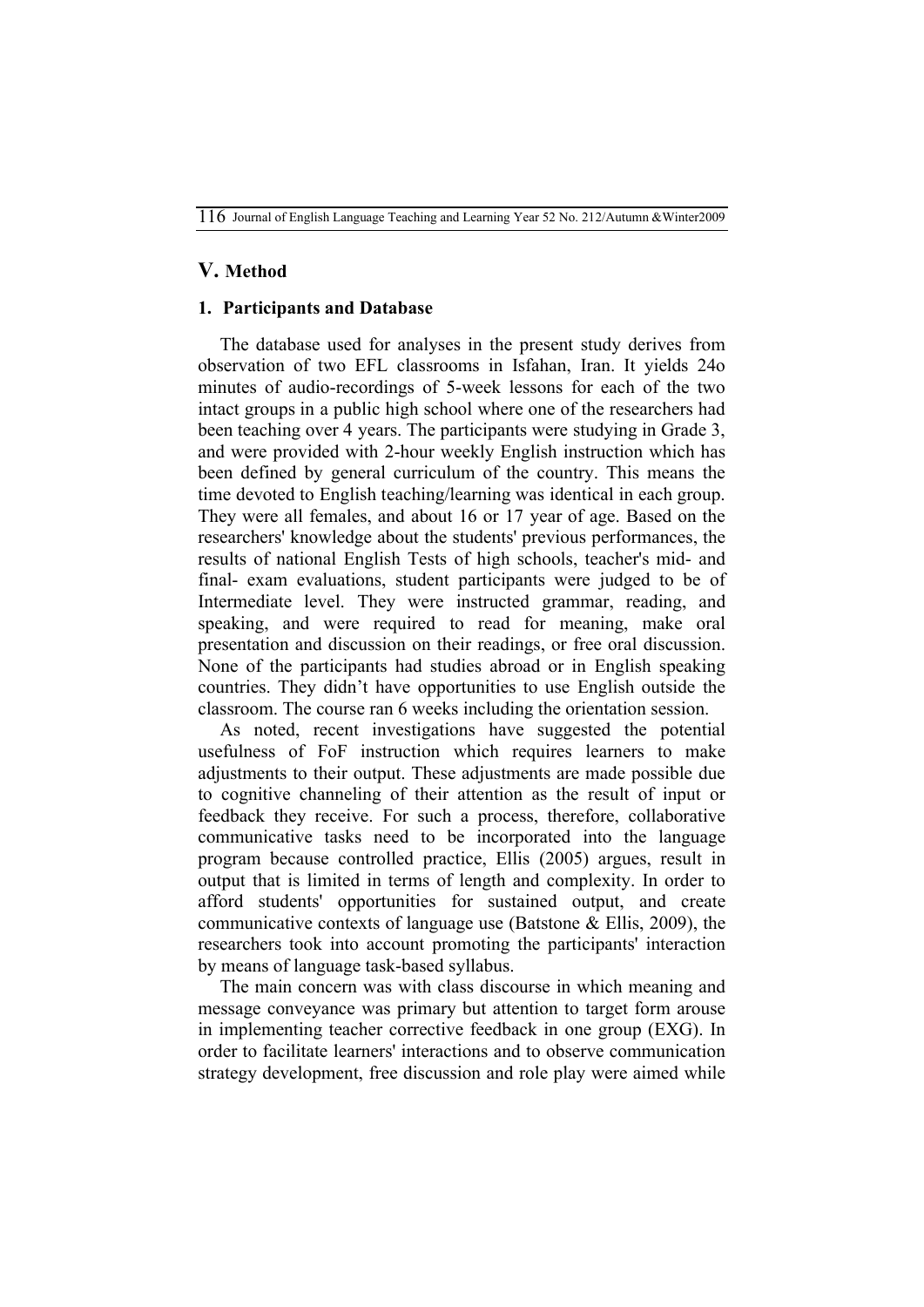## **V. Method**

#### **1. Participants and Database**

The database used for analyses in the present study derives from observation of two EFL classrooms in Isfahan, Iran. It yields 24o minutes of audio-recordings of 5-week lessons for each of the two intact groups in a public high school where one of the researchers had been teaching over 4 years. The participants were studying in Grade 3, and were provided with 2-hour weekly English instruction which has been defined by general curriculum of the country. This means the time devoted to English teaching/learning was identical in each group. They were all females, and about 16 or 17 year of age. Based on the researchers' knowledge about the students' previous performances, the results of national English Tests of high schools, teacher's mid- and final- exam evaluations, student participants were judged to be of Intermediate level. They were instructed grammar, reading, and speaking, and were required to read for meaning, make oral presentation and discussion on their readings, or free oral discussion. None of the participants had studies abroad or in English speaking countries. They didn't have opportunities to use English outside the classroom. The course ran 6 weeks including the orientation session.

As noted, recent investigations have suggested the potential usefulness of FoF instruction which requires learners to make adjustments to their output. These adjustments are made possible due to cognitive channeling of their attention as the result of input or feedback they receive. For such a process, therefore, collaborative communicative tasks need to be incorporated into the language program because controlled practice, Ellis (2005) argues, result in output that is limited in terms of length and complexity. In order to afford students' opportunities for sustained output, and create communicative contexts of language use (Batstone & Ellis, 2009), the researchers took into account promoting the participants' interaction by means of language task-based syllabus.

The main concern was with class discourse in which meaning and message conveyance was primary but attention to target form arouse in implementing teacher corrective feedback in one group (EXG). In order to facilitate learners' interactions and to observe communication strategy development, free discussion and role play were aimed while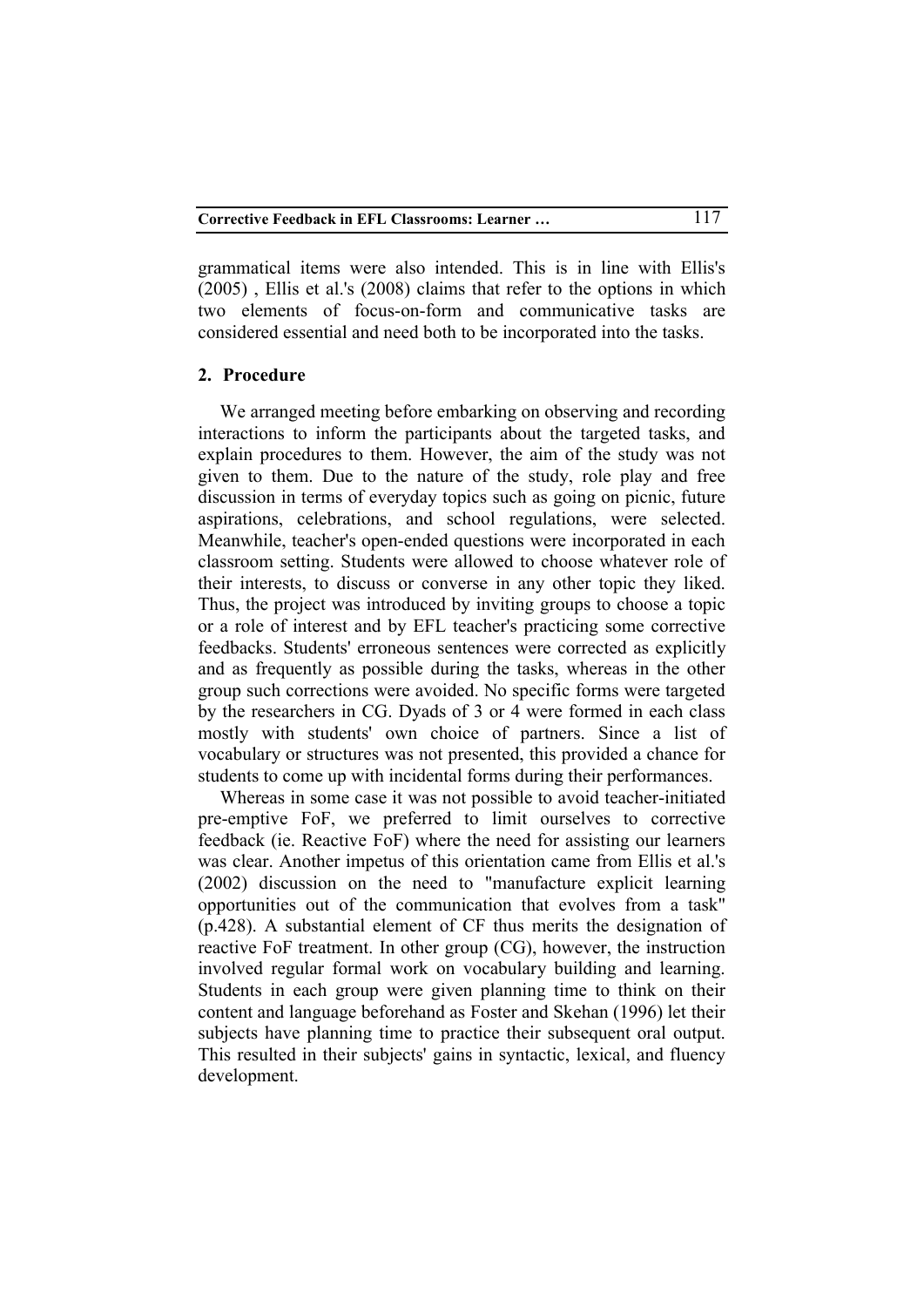grammatical items were also intended. This is in line with Ellis's (2005) , Ellis et al.'s (2008) claims that refer to the options in which two elements of focus-on-form and communicative tasks are considered essential and need both to be incorporated into the tasks.

#### **2. Procedure**

We arranged meeting before embarking on observing and recording interactions to inform the participants about the targeted tasks, and explain procedures to them. However, the aim of the study was not given to them. Due to the nature of the study, role play and free discussion in terms of everyday topics such as going on picnic, future aspirations, celebrations, and school regulations, were selected. Meanwhile, teacher's open-ended questions were incorporated in each classroom setting. Students were allowed to choose whatever role of their interests, to discuss or converse in any other topic they liked. Thus, the project was introduced by inviting groups to choose a topic or a role of interest and by EFL teacher's practicing some corrective feedbacks. Students' erroneous sentences were corrected as explicitly and as frequently as possible during the tasks, whereas in the other group such corrections were avoided. No specific forms were targeted by the researchers in CG. Dyads of 3 or 4 were formed in each class mostly with students' own choice of partners. Since a list of vocabulary or structures was not presented, this provided a chance for students to come up with incidental forms during their performances.

Whereas in some case it was not possible to avoid teacher-initiated pre-emptive FoF, we preferred to limit ourselves to corrective feedback (ie. Reactive FoF) where the need for assisting our learners was clear. Another impetus of this orientation came from Ellis et al.'s (2002) discussion on the need to "manufacture explicit learning opportunities out of the communication that evolves from a task" (p.428). A substantial element of CF thus merits the designation of reactive FoF treatment. In other group (CG), however, the instruction involved regular formal work on vocabulary building and learning. Students in each group were given planning time to think on their content and language beforehand as Foster and Skehan (1996) let their subjects have planning time to practice their subsequent oral output. This resulted in their subjects' gains in syntactic, lexical, and fluency development.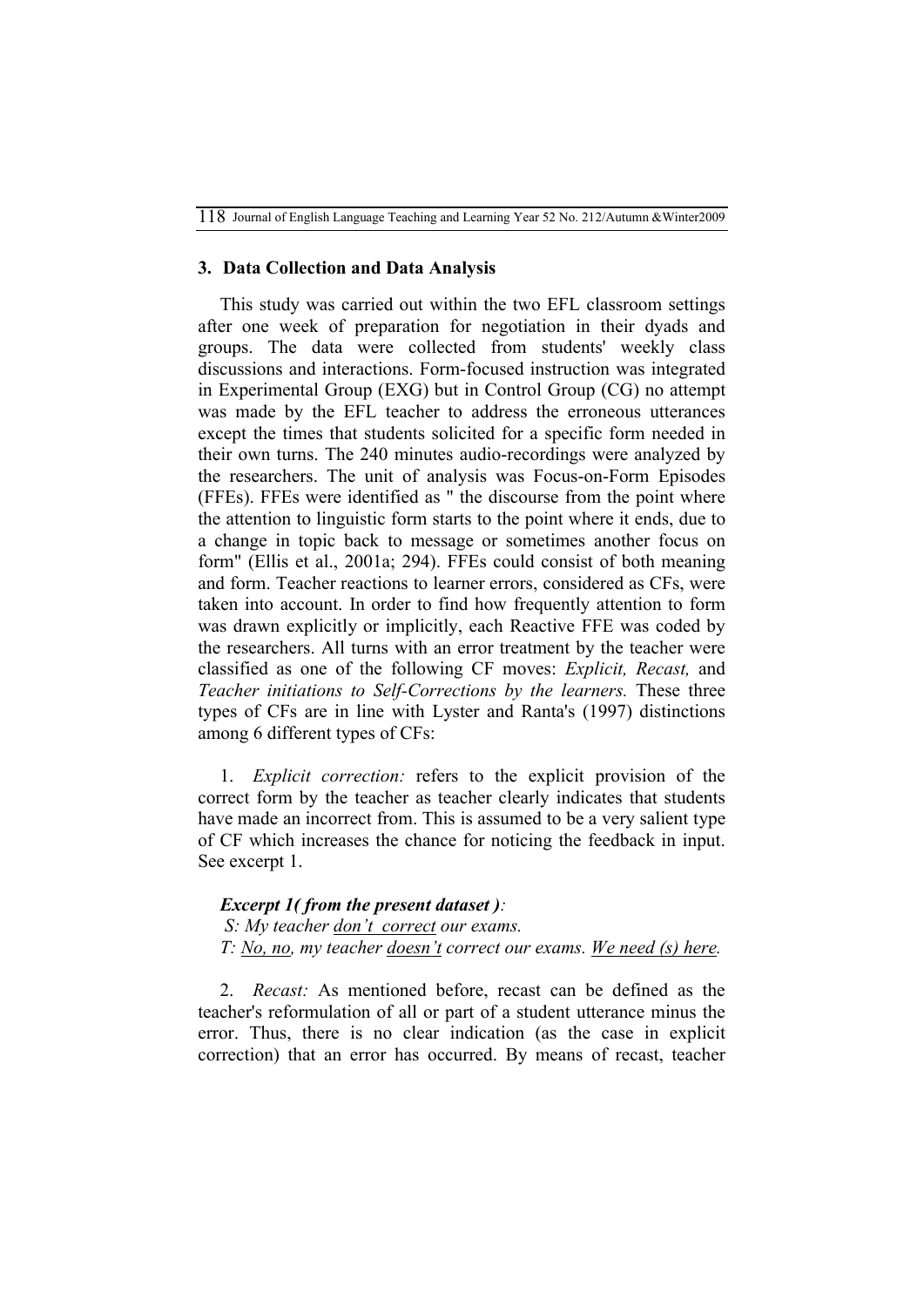118Journal of English Language Teaching and Learning Year 52 No. 212/Autumn &Winter2009

### **3. Data Collection and Data Analysis**

This study was carried out within the two EFL classroom settings after one week of preparation for negotiation in their dyads and groups. The data were collected from students' weekly class discussions and interactions. Form-focused instruction was integrated in Experimental Group (EXG) but in Control Group (CG) no attempt was made by the EFL teacher to address the erroneous utterances except the times that students solicited for a specific form needed in their own turns. The 240 minutes audio-recordings were analyzed by the researchers. The unit of analysis was Focus-on-Form Episodes (FFEs). FFEs were identified as " the discourse from the point where the attention to linguistic form starts to the point where it ends, due to a change in topic back to message or sometimes another focus on form" (Ellis et al., 2001a; 294). FFEs could consist of both meaning and form. Teacher reactions to learner errors, considered as CFs, were taken into account. In order to find how frequently attention to form was drawn explicitly or implicitly, each Reactive FFE was coded by the researchers. All turns with an error treatment by the teacher were classified as one of the following CF moves: *Explicit, Recast,* and *Teacher initiations to Self-Corrections by the learners.* These three types of CFs are in line with Lyster and Ranta's (1997) distinctions among 6 different types of CFs:

1. *Explicit correction:* refers to the explicit provision of the correct form by the teacher as teacher clearly indicates that students have made an incorrect from. This is assumed to be a very salient type of CF which increases the chance for noticing the feedback in input. See excerpt 1.

### *Excerpt 1( from the present dataset ):*

*S: My teacher don't correct our exams.*

*T: No, no, my teacher doesn't correct our exams. We need (s) here.* 

2. *Recast:* As mentioned before, recast can be defined as the teacher's reformulation of all or part of a student utterance minus the error. Thus, there is no clear indication (as the case in explicit correction) that an error has occurred. By means of recast, teacher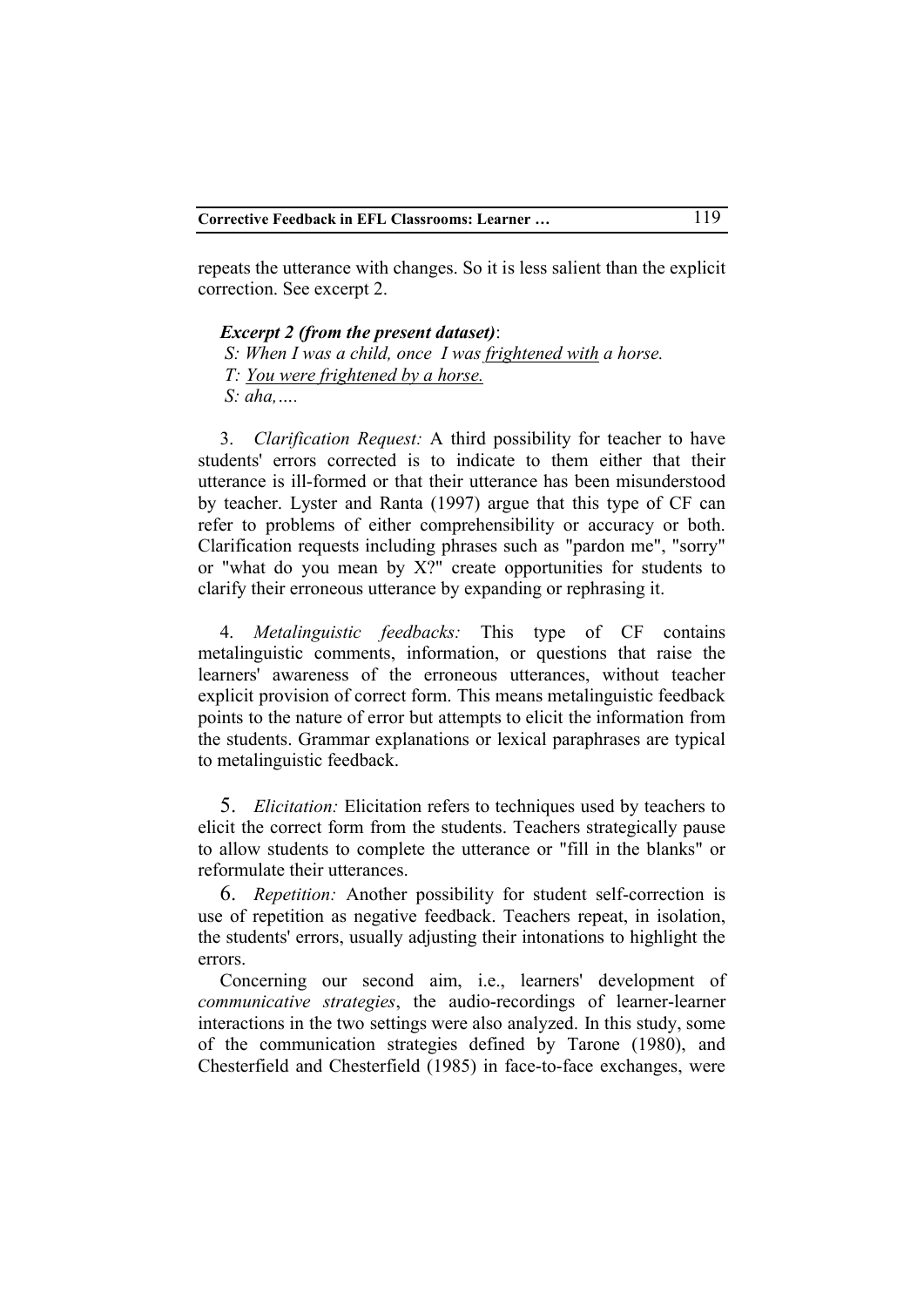repeats the utterance with changes. So it is less salient than the explicit correction. See excerpt 2.

#### *Excerpt 2 (from the present dataset)*:

*S: When I was a child, once I was frightened with a horse. T: You were frightened by a horse.*

*S: aha,….*

3. *Clarification Request:* A third possibility for teacher to have students' errors corrected is to indicate to them either that their utterance is ill-formed or that their utterance has been misunderstood by teacher. Lyster and Ranta (1997) argue that this type of CF can refer to problems of either comprehensibility or accuracy or both. Clarification requests including phrases such as "pardon me", "sorry" or "what do you mean by X?" create opportunities for students to clarify their erroneous utterance by expanding or rephrasing it.

4. *Metalinguistic feedbacks:* This type of CF contains metalinguistic comments, information, or questions that raise the learners' awareness of the erroneous utterances, without teacher explicit provision of correct form. This means metalinguistic feedback points to the nature of error but attempts to elicit the information from the students. Grammar explanations or lexical paraphrases are typical to metalinguistic feedback.

5. *Elicitation:* Elicitation refers to techniques used by teachers to elicit the correct form from the students. Teachers strategically pause to allow students to complete the utterance or "fill in the blanks" or reformulate their utterances.

6. *Repetition:* Another possibility for student self-correction is use of repetition as negative feedback. Teachers repeat, in isolation, the students' errors, usually adjusting their intonations to highlight the errors.

Concerning our second aim, i.e., learners' development of *communicative strategies*, the audio-recordings of learner-learner interactions in the two settings were also analyzed. In this study, some of the communication strategies defined by Tarone (1980), and Chesterfield and Chesterfield (1985) in face-to-face exchanges, were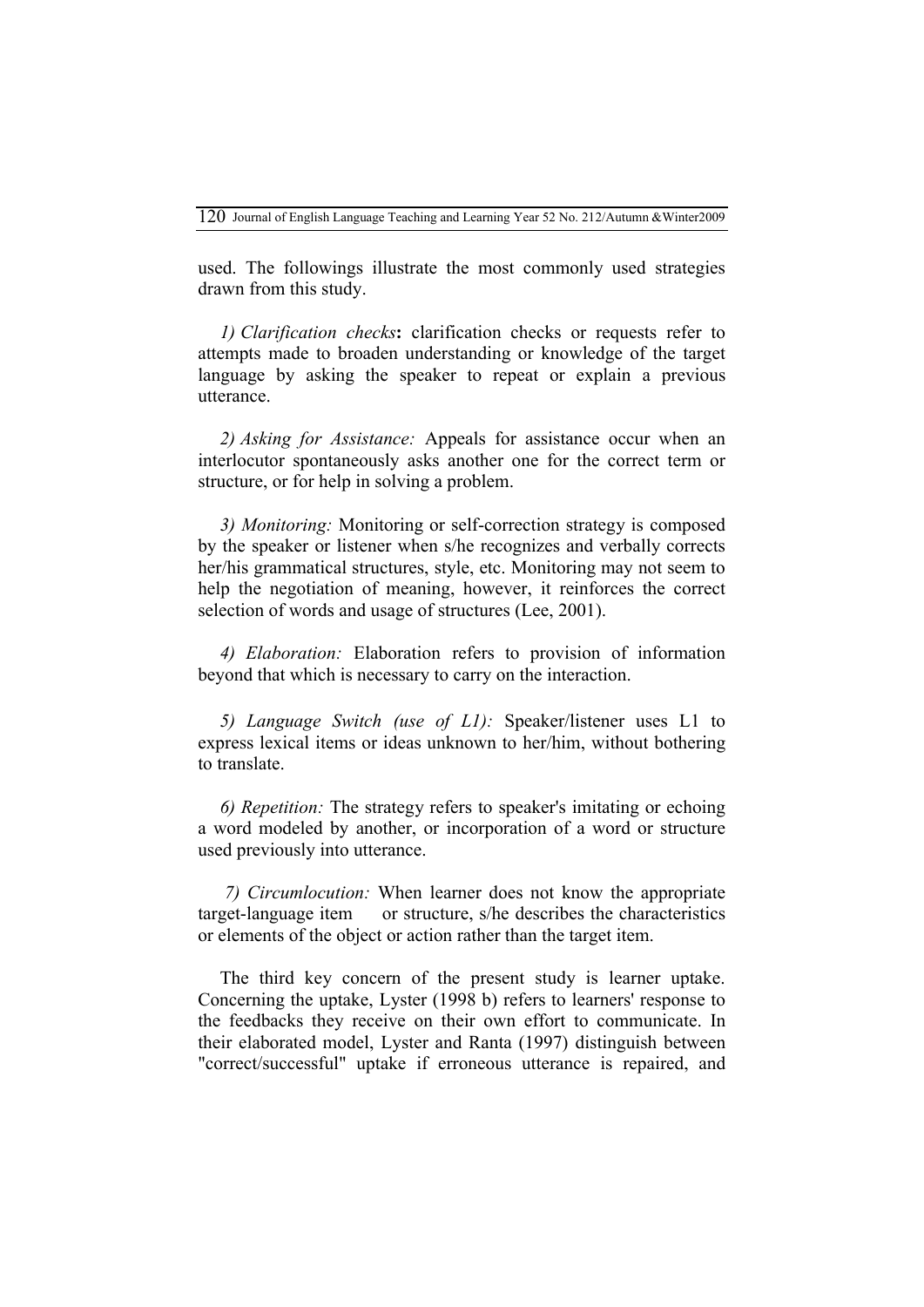used. The followings illustrate the most commonly used strategies drawn from this study.

*1) Clarification checks***:** clarification checks or requests refer to attempts made to broaden understanding or knowledge of the target language by asking the speaker to repeat or explain a previous utterance.

*2) Asking for Assistance:* Appeals for assistance occur when an interlocutor spontaneously asks another one for the correct term or structure, or for help in solving a problem.

*3) Monitoring:* Monitoring or self-correction strategy is composed by the speaker or listener when s/he recognizes and verbally corrects her/his grammatical structures, style, etc. Monitoring may not seem to help the negotiation of meaning, however, it reinforces the correct selection of words and usage of structures (Lee, 2001).

*4) Elaboration:* Elaboration refers to provision of information beyond that which is necessary to carry on the interaction.

*5) Language Switch (use of L1):* Speaker/listener uses L1 to express lexical items or ideas unknown to her/him, without bothering to translate.

*6) Repetition:* The strategy refers to speaker's imitating or echoing a word modeled by another, or incorporation of a word or structure used previously into utterance.

*7) Circumlocution:* When learner does not know the appropriate target-language item or structure, s/he describes the characteristics or elements of the object or action rather than the target item.

The third key concern of the present study is learner uptake. Concerning the uptake, Lyster (1998 b) refers to learners' response to the feedbacks they receive on their own effort to communicate. In their elaborated model, Lyster and Ranta (1997) distinguish between "correct/successful" uptake if erroneous utterance is repaired, and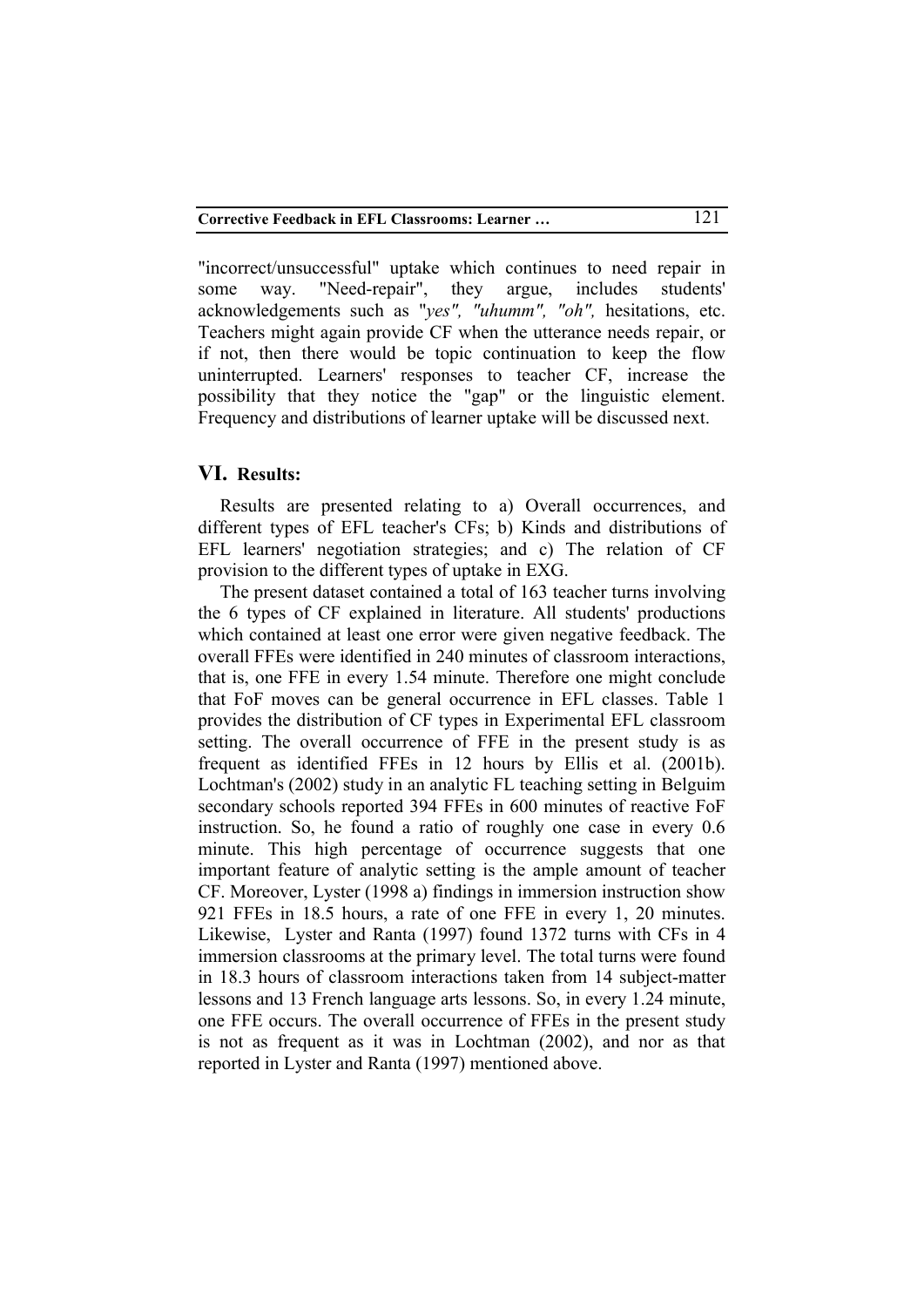"incorrect/unsuccessful" uptake which continues to need repair in some way. "Need-repair", they argue, includes students' acknowledgements such as "*yes", "uhumm", "oh",* hesitations, etc. Teachers might again provide CF when the utterance needs repair, or if not, then there would be topic continuation to keep the flow uninterrupted. Learners' responses to teacher CF, increase the possibility that they notice the "gap" or the linguistic element. Frequency and distributions of learner uptake will be discussed next.

## **VI. Results:**

Results are presented relating to a) Overall occurrences, and different types of EFL teacher's CFs; b) Kinds and distributions of EFL learners' negotiation strategies; and c) The relation of CF provision to the different types of uptake in EXG.

The present dataset contained a total of 163 teacher turns involving the 6 types of CF explained in literature. All students' productions which contained at least one error were given negative feedback. The overall FFEs were identified in 240 minutes of classroom interactions, that is, one FFE in every 1.54 minute. Therefore one might conclude that FoF moves can be general occurrence in EFL classes. Table 1 provides the distribution of CF types in Experimental EFL classroom setting. The overall occurrence of FFE in the present study is as frequent as identified FFEs in 12 hours by Ellis et al. (2001b). Lochtman's (2002) study in an analytic FL teaching setting in Belguim secondary schools reported 394 FFEs in 600 minutes of reactive FoF instruction. So, he found a ratio of roughly one case in every 0.6 minute. This high percentage of occurrence suggests that one important feature of analytic setting is the ample amount of teacher CF. Moreover, Lyster (1998 a) findings in immersion instruction show 921 FFEs in 18.5 hours, a rate of one FFE in every 1, 20 minutes. Likewise, Lyster and Ranta (1997) found 1372 turns with CFs in 4 immersion classrooms at the primary level. The total turns were found in 18.3 hours of classroom interactions taken from 14 subject-matter lessons and 13 French language arts lessons. So, in every 1.24 minute, one FFE occurs. The overall occurrence of FFEs in the present study is not as frequent as it was in Lochtman (2002), and nor as that reported in Lyster and Ranta (1997) mentioned above.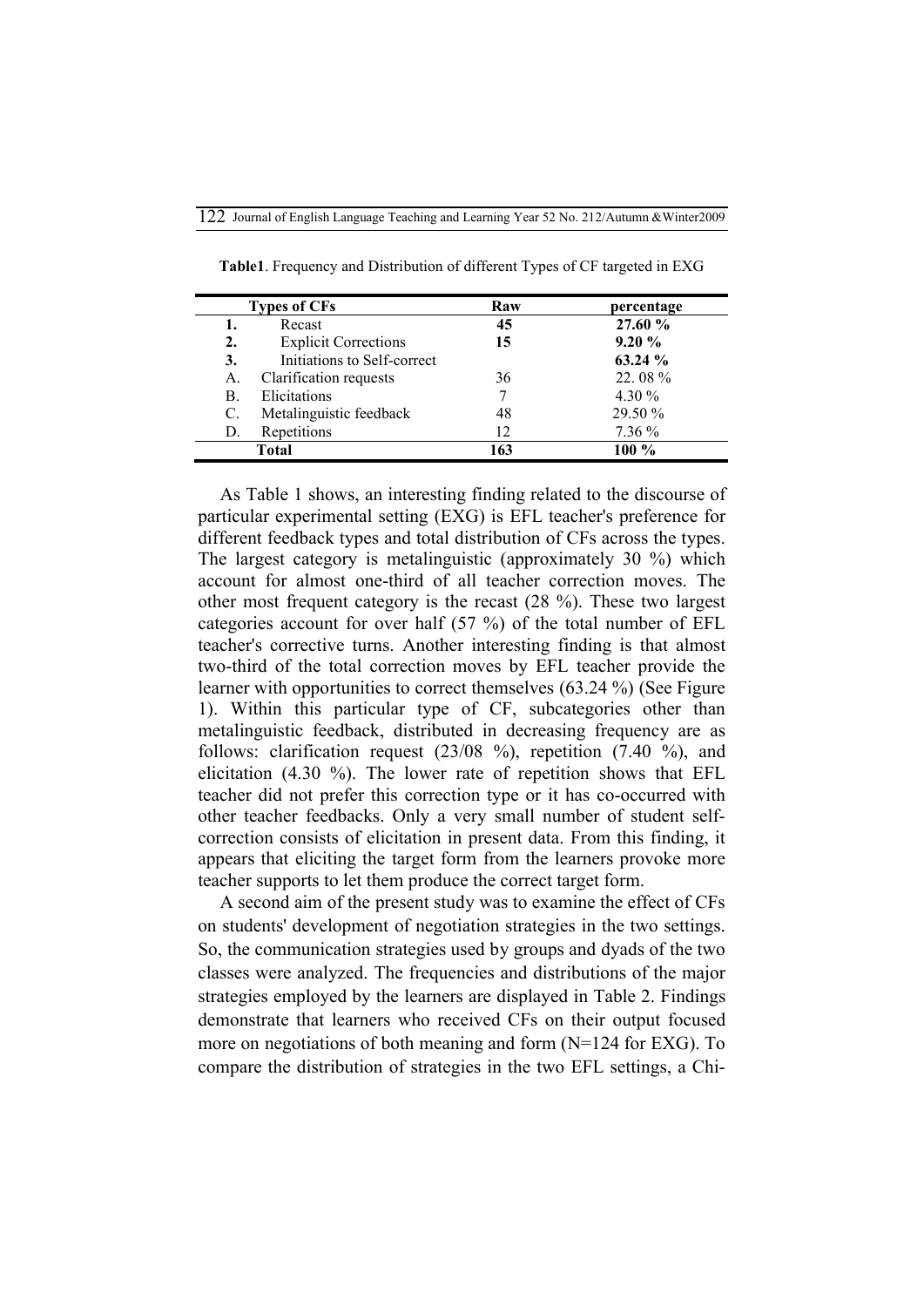| <b>Types of CFs</b> |                             | Raw | percentage |  |
|---------------------|-----------------------------|-----|------------|--|
| 1.                  | Recast                      | 45  | 27.60 %    |  |
| 2.                  | <b>Explicit Corrections</b> | 15  | 9.20%      |  |
| 3.                  | Initiations to Self-correct |     | 63.24 %    |  |
| А.                  | Clarification requests      | 36  | 22.08%     |  |
| В.                  | Elicitations                |     | 4.30 $%$   |  |
| C.                  | Metalinguistic feedback     | 48  | 29.50 %    |  |
| D.                  | Repetitions                 | 12  | 7.36 %     |  |
| Total               |                             | 163 | 100 %      |  |

**Table1**. Frequency and Distribution of different Types of CF targeted in EXG

As Table 1 shows, an interesting finding related to the discourse of particular experimental setting (EXG) is EFL teacher's preference for different feedback types and total distribution of CFs across the types. The largest category is metalinguistic (approximately 30 %) which account for almost one-third of all teacher correction moves. The other most frequent category is the recast (28 %). These two largest categories account for over half (57 %) of the total number of EFL teacher's corrective turns. Another interesting finding is that almost two-third of the total correction moves by EFL teacher provide the learner with opportunities to correct themselves (63.24 %) (See Figure 1). Within this particular type of CF, subcategories other than metalinguistic feedback, distributed in decreasing frequency are as follows: clarification request (23/08 %), repetition (7.40 %), and elicitation (4.30 %). The lower rate of repetition shows that EFL teacher did not prefer this correction type or it has co-occurred with other teacher feedbacks. Only a very small number of student selfcorrection consists of elicitation in present data. From this finding, it appears that eliciting the target form from the learners provoke more teacher supports to let them produce the correct target form.

A second aim of the present study was to examine the effect of CFs on students' development of negotiation strategies in the two settings. So, the communication strategies used by groups and dyads of the two classes were analyzed. The frequencies and distributions of the major strategies employed by the learners are displayed in Table 2. Findings demonstrate that learners who received CFs on their output focused more on negotiations of both meaning and form (N=124 for EXG). To compare the distribution of strategies in the two EFL settings, a Chi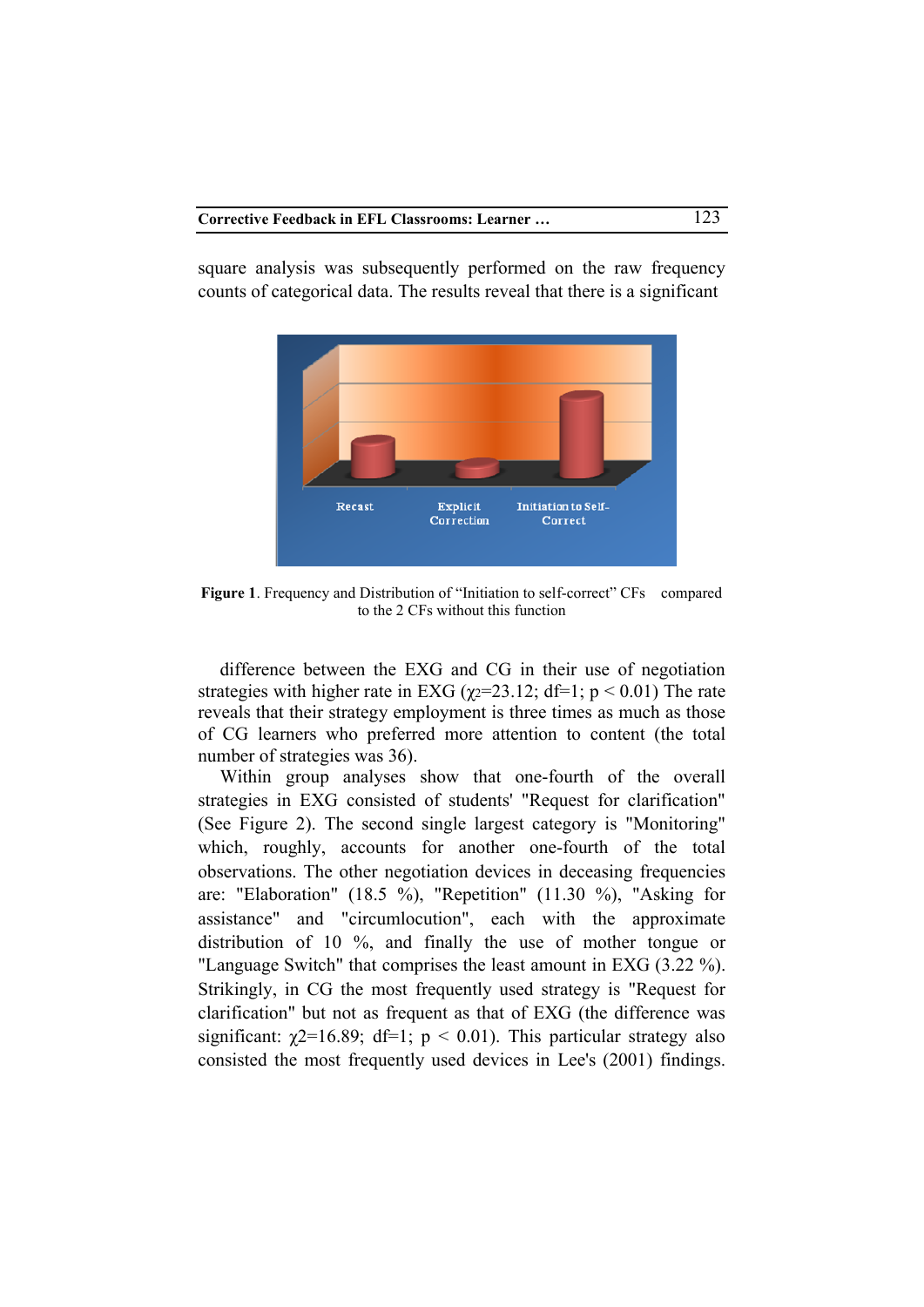square analysis was subsequently performed on the raw frequency counts of categorical data. The results reveal that there is a significant



**Figure 1.** Frequency and Distribution of "Initiation to self-correct" CFs compared to the 2 CFs without this function

difference between the EXG and CG in their use of negotiation strategies with higher rate in EXG ( $\gamma$ 2=23.12; df=1; p < 0.01) The rate reveals that their strategy employment is three times as much as those of CG learners who preferred more attention to content (the total number of strategies was 36).

Within group analyses show that one-fourth of the overall strategies in EXG consisted of students' "Request for clarification" (See Figure 2). The second single largest category is "Monitoring" which, roughly, accounts for another one-fourth of the total observations. The other negotiation devices in deceasing frequencies are: "Elaboration" (18.5 %), "Repetition" (11.30 %), "Asking for assistance" and "circumlocution", each with the approximate distribution of 10 %, and finally the use of mother tongue or "Language Switch" that comprises the least amount in EXG (3.22 %). Strikingly, in CG the most frequently used strategy is "Request for clarification" but not as frequent as that of EXG (the difference was significant:  $\chi$ 2=16.89; df=1; p < 0.01). This particular strategy also consisted the most frequently used devices in Lee's (2001) findings.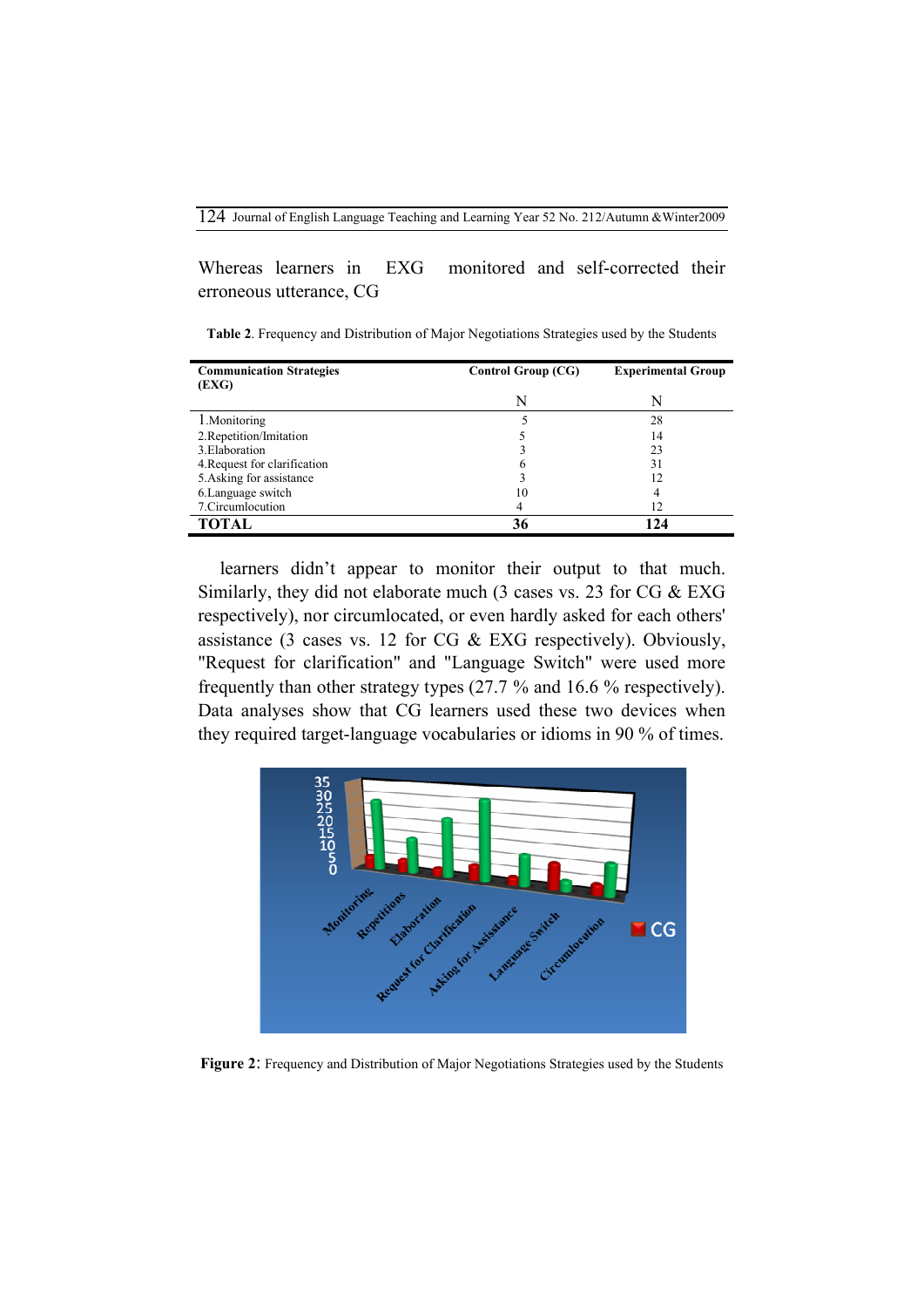Whereas learners in EXG monitored and self-corrected their erroneous utterance, CG

**Table 2**. Frequency and Distribution of Major Negotiations Strategies used by the Students

| <b>Communication Strategies</b><br>(EXG) | <b>Control Group (CG)</b> | <b>Experimental Group</b> |  |
|------------------------------------------|---------------------------|---------------------------|--|
|                                          | N                         | N                         |  |
| 1. Monitoring                            |                           | 28                        |  |
| 2. Repetition/Imitation                  |                           | 14                        |  |
| 3. Elaboration                           |                           | 23                        |  |
| 4. Request for clarification             |                           | 31                        |  |
| 5. Asking for assistance                 |                           | 12                        |  |
| 6. Language switch                       | 10                        | 4                         |  |
| 7. Circumlocution                        |                           | 12                        |  |
| TOTAL                                    |                           | 24                        |  |

learners didn't appear to monitor their output to that much. Similarly, they did not elaborate much (3 cases vs. 23 for CG & EXG respectively), nor circumlocated, or even hardly asked for each others' assistance (3 cases vs. 12 for CG & EXG respectively). Obviously, "Request for clarification" and "Language Switch" were used more frequently than other strategy types (27.7 % and 16.6 % respectively). Data analyses show that CG learners used these two devices when they required target-language vocabularies or idioms in 90 % of times.



**Figure 2**: Frequency and Distribution of Major Negotiations Strategies used by the Students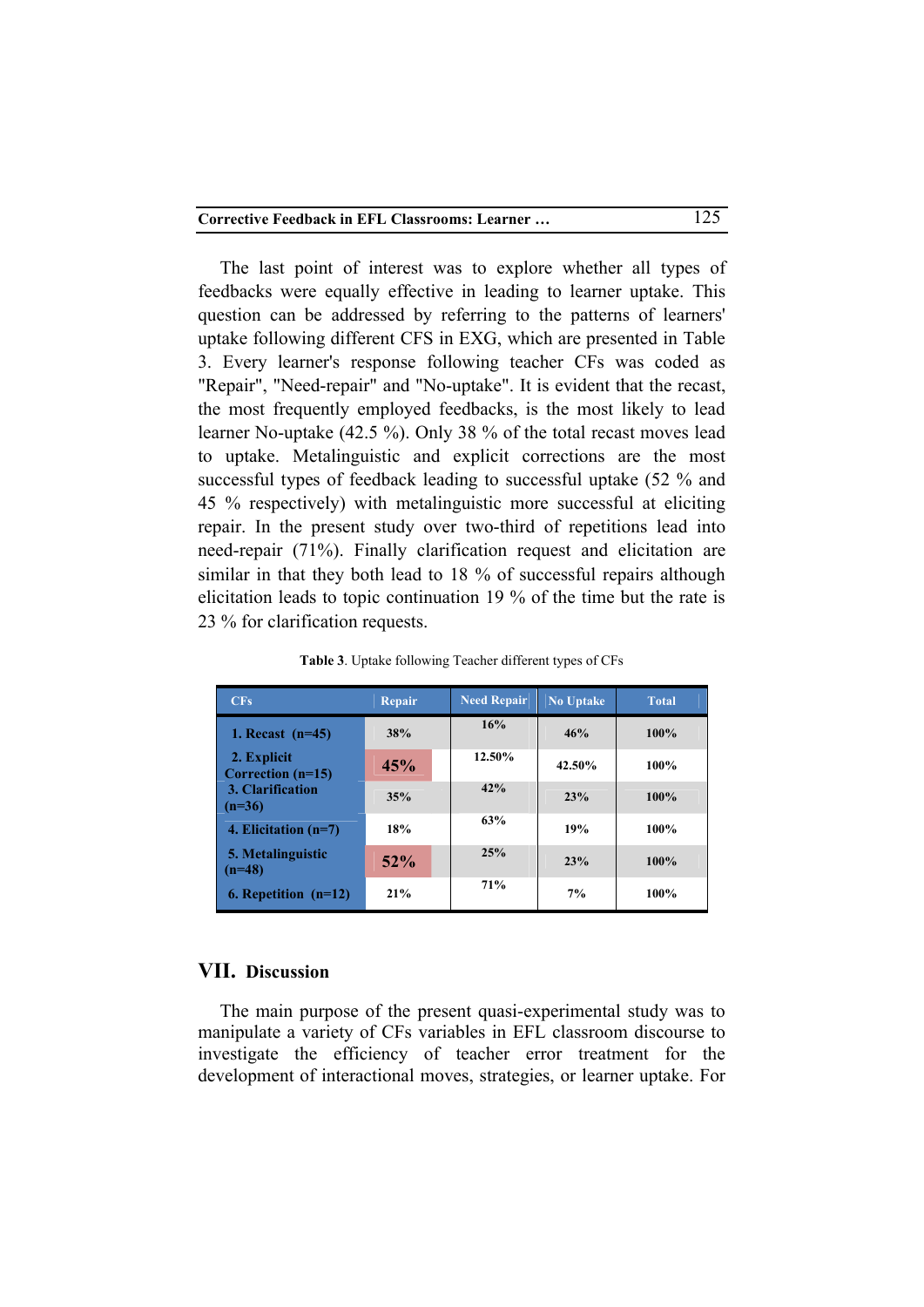The last point of interest was to explore whether all types of feedbacks were equally effective in leading to learner uptake. This question can be addressed by referring to the patterns of learners' uptake following different CFS in EXG, which are presented in Table 3. Every learner's response following teacher CFs was coded as "Repair", "Need-repair" and "No-uptake". It is evident that the recast, the most frequently employed feedbacks, is the most likely to lead learner No-uptake (42.5 %). Only 38 % of the total recast moves lead to uptake. Metalinguistic and explicit corrections are the most successful types of feedback leading to successful uptake (52 % and 45 % respectively) with metalinguistic more successful at eliciting repair. In the present study over two-third of repetitions lead into need-repair (71%). Finally clarification request and elicitation are similar in that they both lead to 18 % of successful repairs although elicitation leads to topic continuation 19 % of the time but the rate is 23 % for clarification requests.

| CFs                                | <b>Repair</b> | <b>Need Repair</b> | <b>No Uptake</b> | <b>Total</b> |
|------------------------------------|---------------|--------------------|------------------|--------------|
| 1. Recast $(n=45)$                 | 38%           | 16%                | 46%              | $100\%$      |
| 2. Explicit<br>Correction $(n=15)$ | 45%           | 12.50%             | 42.50%           | 100%         |
| 3. Clarification<br>$(n=36)$       | 35%           | 42%                | 23%              | 100%         |
| 4. Elicitation $(n=7)$             | 18%           | 63%                | 19%              | 100%         |
| 5. Metalinguistic<br>$(n=48)$      | $52\%$        | 25%                | 23%              | 100%         |
| 6. Repetition $(n=12)$             | 21%           | 71%                | 7%               | 100%         |

**Table 3**. Uptake following Teacher different types of CFs

## **VII. Discussion**

The main purpose of the present quasi-experimental study was to manipulate a variety of CFs variables in EFL classroom discourse to investigate the efficiency of teacher error treatment for the development of interactional moves, strategies, or learner uptake. For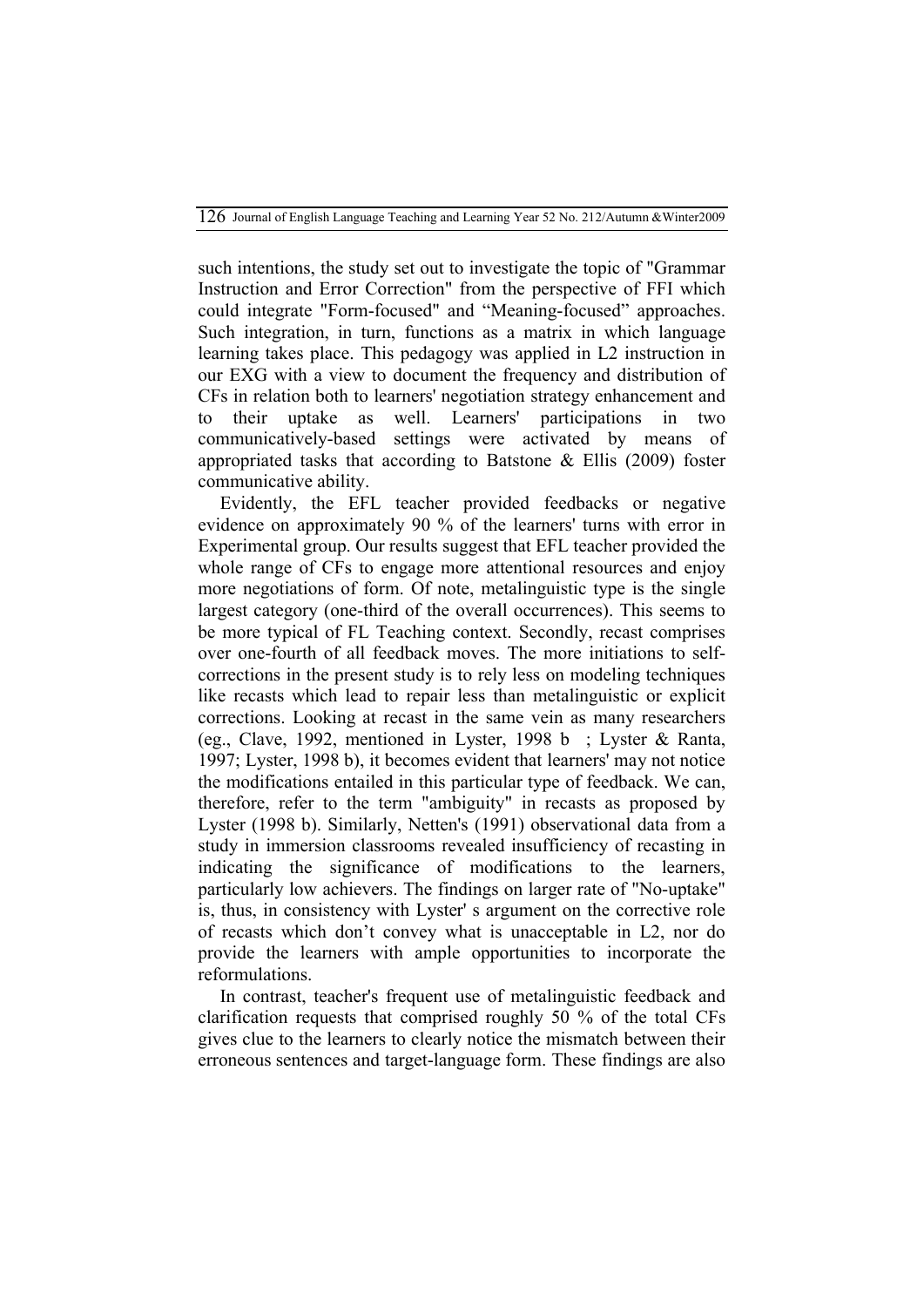such intentions, the study set out to investigate the topic of "Grammar Instruction and Error Correction" from the perspective of FFI which could integrate "Form-focused" and "Meaning-focused" approaches. Such integration, in turn, functions as a matrix in which language learning takes place. This pedagogy was applied in L2 instruction in our EXG with a view to document the frequency and distribution of CFs in relation both to learners' negotiation strategy enhancement and to their uptake as well. Learners' participations in two communicatively-based settings were activated by means of appropriated tasks that according to Batstone & Ellis (2009) foster communicative ability.

Evidently, the EFL teacher provided feedbacks or negative evidence on approximately 90 % of the learners' turns with error in Experimental group. Our results suggest that EFL teacher provided the whole range of CFs to engage more attentional resources and enjoy more negotiations of form. Of note, metalinguistic type is the single largest category (one-third of the overall occurrences). This seems to be more typical of FL Teaching context. Secondly, recast comprises over one-fourth of all feedback moves. The more initiations to selfcorrections in the present study is to rely less on modeling techniques like recasts which lead to repair less than metalinguistic or explicit corrections. Looking at recast in the same vein as many researchers (eg., Clave, 1992, mentioned in Lyster, 1998 b ; Lyster & Ranta, 1997; Lyster, 1998 b), it becomes evident that learners' may not notice the modifications entailed in this particular type of feedback. We can, therefore, refer to the term "ambiguity" in recasts as proposed by Lyster (1998 b). Similarly, Netten's (1991) observational data from a study in immersion classrooms revealed insufficiency of recasting in indicating the significance of modifications to the learners, particularly low achievers. The findings on larger rate of "No-uptake" is, thus, in consistency with Lyster' s argument on the corrective role of recasts which don't convey what is unacceptable in L2, nor do provide the learners with ample opportunities to incorporate the reformulations.

In contrast, teacher's frequent use of metalinguistic feedback and clarification requests that comprised roughly 50 % of the total CFs gives clue to the learners to clearly notice the mismatch between their erroneous sentences and target-language form. These findings are also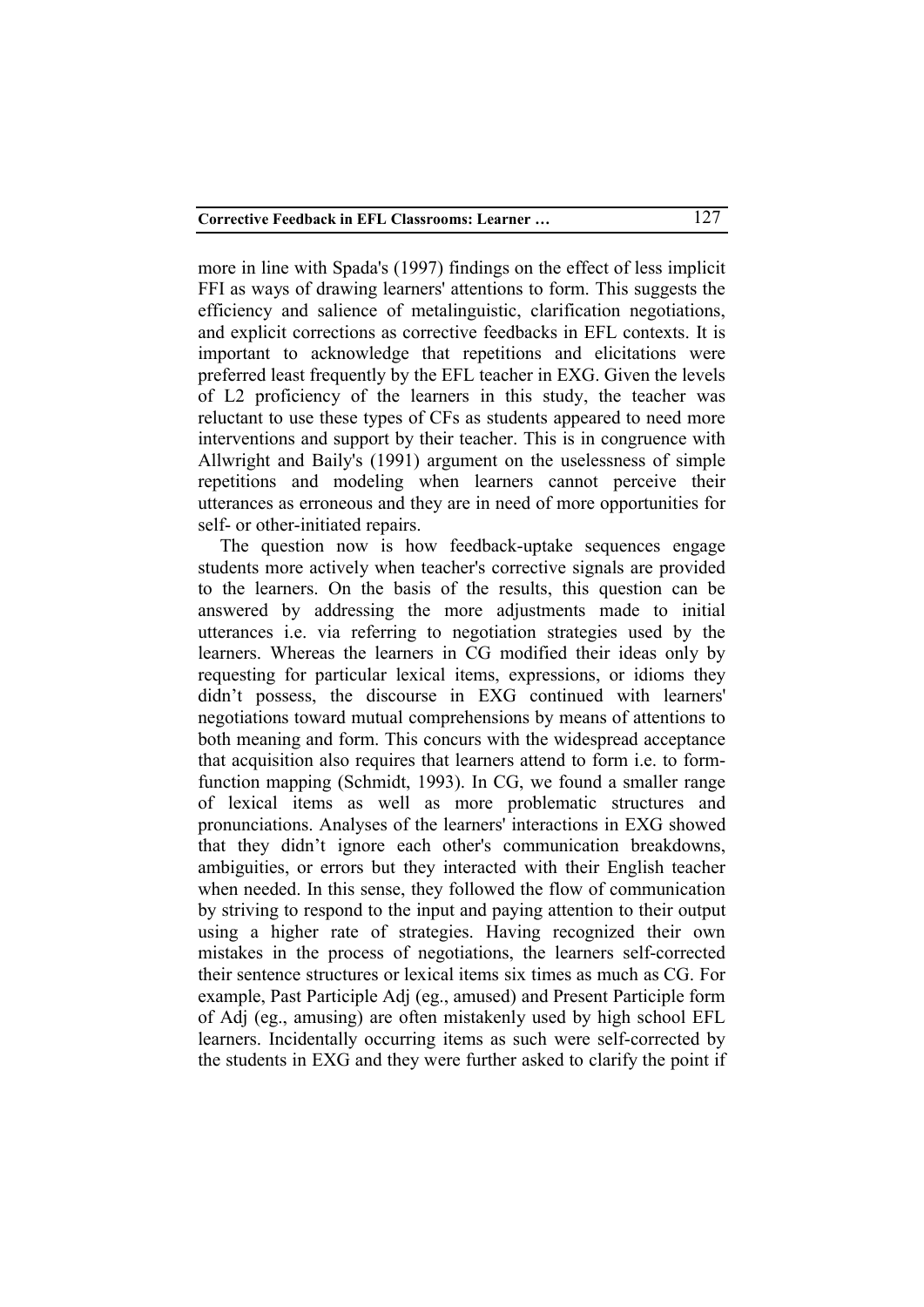more in line with Spada's (1997) findings on the effect of less implicit FFI as ways of drawing learners' attentions to form. This suggests the efficiency and salience of metalinguistic, clarification negotiations, and explicit corrections as corrective feedbacks in EFL contexts. It is important to acknowledge that repetitions and elicitations were preferred least frequently by the EFL teacher in EXG. Given the levels of L2 proficiency of the learners in this study, the teacher was reluctant to use these types of CFs as students appeared to need more interventions and support by their teacher. This is in congruence with Allwright and Baily's (1991) argument on the uselessness of simple repetitions and modeling when learners cannot perceive their utterances as erroneous and they are in need of more opportunities for self- or other-initiated repairs.

The question now is how feedback-uptake sequences engage students more actively when teacher's corrective signals are provided to the learners. On the basis of the results, this question can be answered by addressing the more adjustments made to initial utterances i.e. via referring to negotiation strategies used by the learners. Whereas the learners in CG modified their ideas only by requesting for particular lexical items, expressions, or idioms they didn't possess, the discourse in EXG continued with learners' negotiations toward mutual comprehensions by means of attentions to both meaning and form. This concurs with the widespread acceptance that acquisition also requires that learners attend to form i.e. to formfunction mapping (Schmidt, 1993). In CG, we found a smaller range of lexical items as well as more problematic structures and pronunciations. Analyses of the learners' interactions in EXG showed that they didn't ignore each other's communication breakdowns, ambiguities, or errors but they interacted with their English teacher when needed. In this sense, they followed the flow of communication by striving to respond to the input and paying attention to their output using a higher rate of strategies. Having recognized their own mistakes in the process of negotiations, the learners self-corrected their sentence structures or lexical items six times as much as CG. For example, Past Participle Adj (eg., amused) and Present Participle form of Adj (eg., amusing) are often mistakenly used by high school EFL learners. Incidentally occurring items as such were self-corrected by the students in EXG and they were further asked to clarify the point if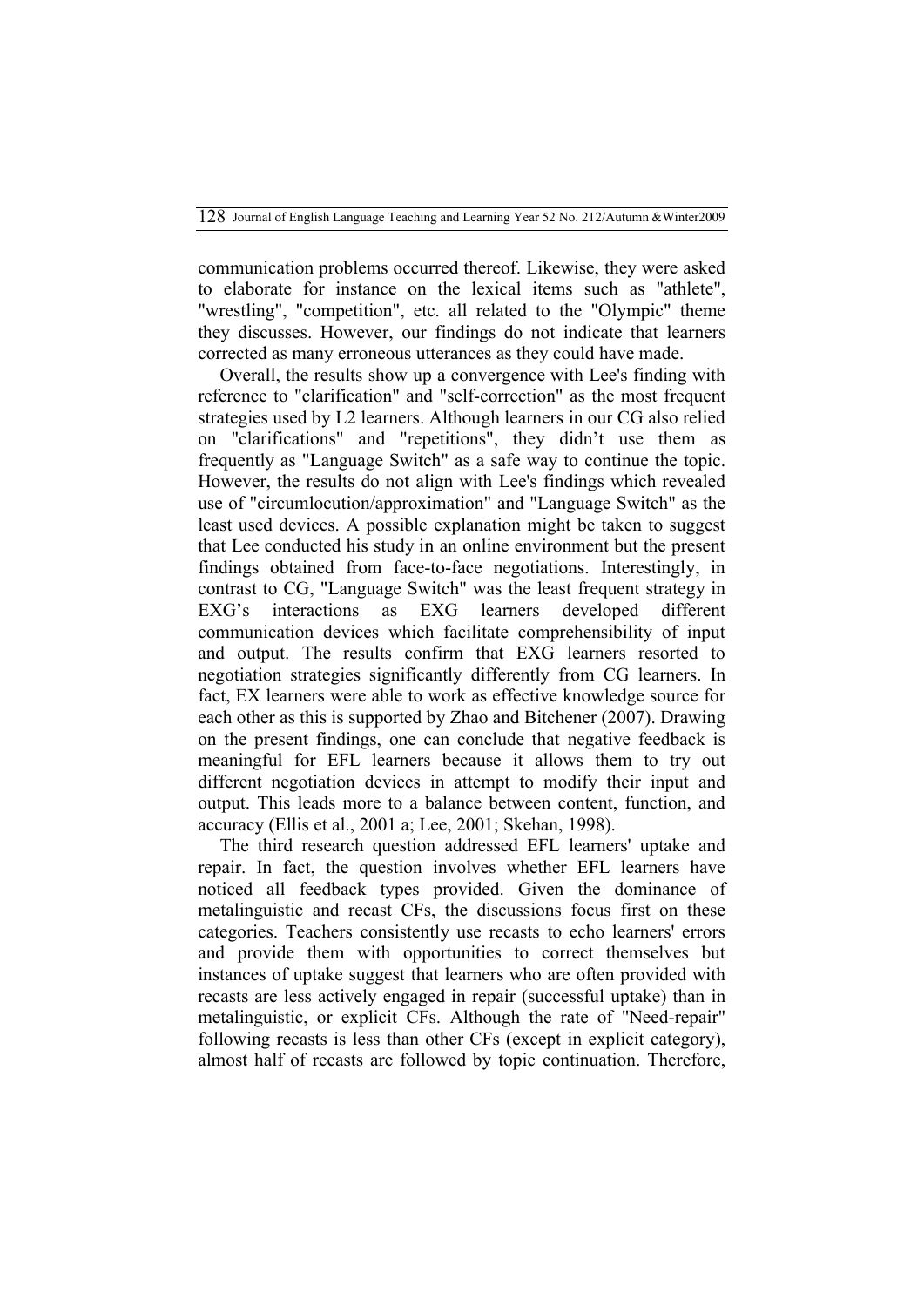communication problems occurred thereof. Likewise, they were asked to elaborate for instance on the lexical items such as "athlete", "wrestling", "competition", etc. all related to the "Olympic" theme they discusses. However, our findings do not indicate that learners corrected as many erroneous utterances as they could have made.

Overall, the results show up a convergence with Lee's finding with reference to "clarification" and "self-correction" as the most frequent strategies used by L2 learners. Although learners in our CG also relied on "clarifications" and "repetitions", they didn't use them as frequently as "Language Switch" as a safe way to continue the topic. However, the results do not align with Lee's findings which revealed use of "circumlocution/approximation" and "Language Switch" as the least used devices. A possible explanation might be taken to suggest that Lee conducted his study in an online environment but the present findings obtained from face-to-face negotiations. Interestingly, in contrast to CG, "Language Switch" was the least frequent strategy in EXG's interactions as EXG learners developed different communication devices which facilitate comprehensibility of input and output. The results confirm that EXG learners resorted to negotiation strategies significantly differently from CG learners. In fact, EX learners were able to work as effective knowledge source for each other as this is supported by Zhao and Bitchener (2007). Drawing on the present findings, one can conclude that negative feedback is meaningful for EFL learners because it allows them to try out different negotiation devices in attempt to modify their input and output. This leads more to a balance between content, function, and accuracy (Ellis et al., 2001 a; Lee, 2001; Skehan, 1998).

The third research question addressed EFL learners' uptake and repair. In fact, the question involves whether EFL learners have noticed all feedback types provided. Given the dominance of metalinguistic and recast CFs, the discussions focus first on these categories. Teachers consistently use recasts to echo learners' errors and provide them with opportunities to correct themselves but instances of uptake suggest that learners who are often provided with recasts are less actively engaged in repair (successful uptake) than in metalinguistic, or explicit CFs. Although the rate of "Need-repair" following recasts is less than other CFs (except in explicit category), almost half of recasts are followed by topic continuation. Therefore,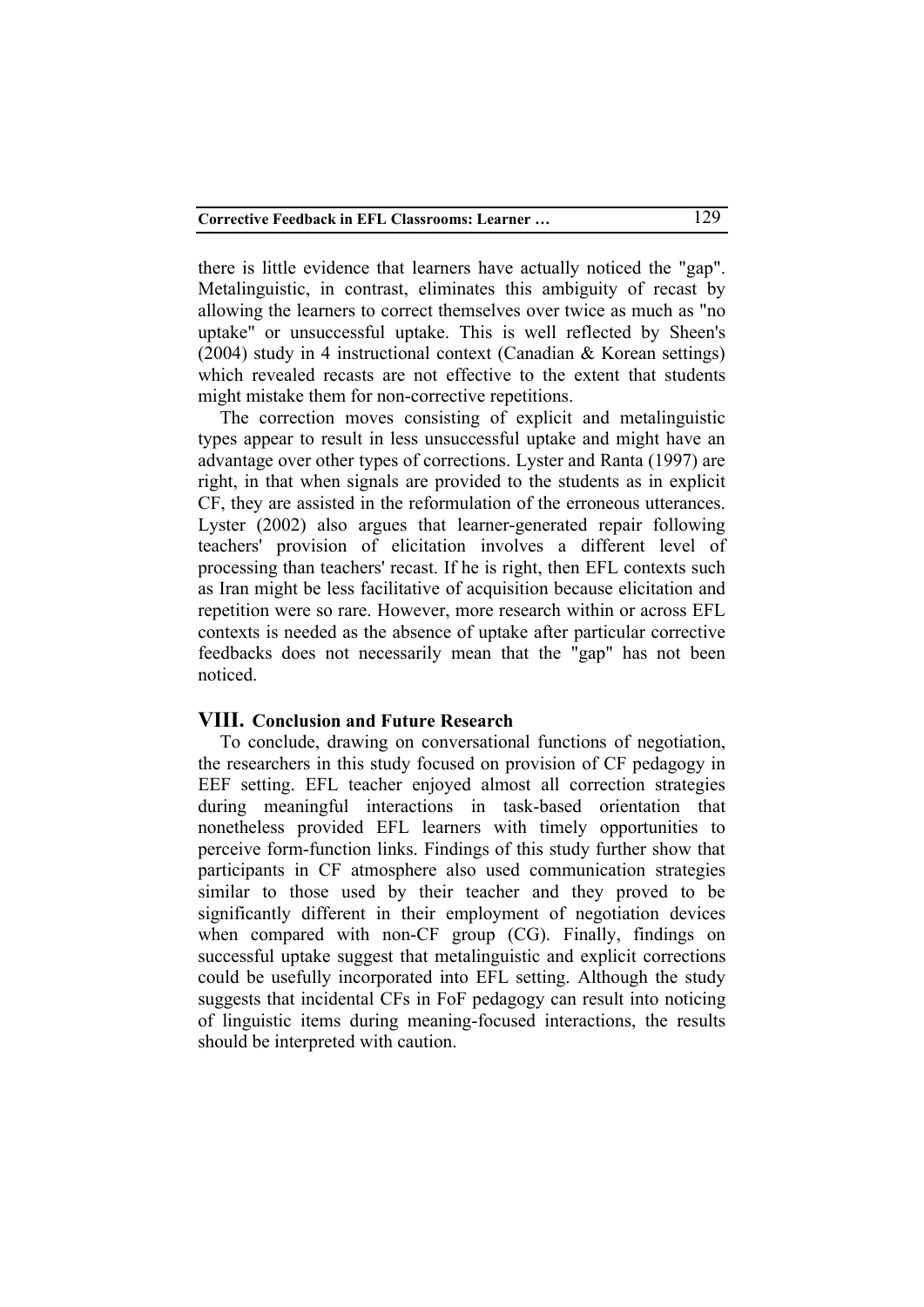there is little evidence that learners have actually noticed the "gap". Metalinguistic, in contrast, eliminates this ambiguity of recast by allowing the learners to correct themselves over twice as much as "no uptake" or unsuccessful uptake. This is well reflected by Sheen's (2004) study in 4 instructional context (Canadian & Korean settings) which revealed recasts are not effective to the extent that students might mistake them for non-corrective repetitions.

The correction moves consisting of explicit and metalinguistic types appear to result in less unsuccessful uptake and might have an advantage over other types of corrections. Lyster and Ranta (1997) are right, in that when signals are provided to the students as in explicit CF, they are assisted in the reformulation of the erroneous utterances. Lyster (2002) also argues that learner-generated repair following teachers' provision of elicitation involves a different level of processing than teachers' recast. If he is right, then EFL contexts such as Iran might be less facilitative of acquisition because elicitation and repetition were so rare. However, more research within or across EFL contexts is needed as the absence of uptake after particular corrective feedbacks does not necessarily mean that the "gap" has not been noticed.

## **VIII. Conclusion and Future Research**

To conclude, drawing on conversational functions of negotiation, the researchers in this study focused on provision of CF pedagogy in EEF setting. EFL teacher enjoyed almost all correction strategies during meaningful interactions in task-based orientation that nonetheless provided EFL learners with timely opportunities to perceive form-function links. Findings of this study further show that participants in CF atmosphere also used communication strategies similar to those used by their teacher and they proved to be significantly different in their employment of negotiation devices when compared with non-CF group (CG). Finally, findings on successful uptake suggest that metalinguistic and explicit corrections could be usefully incorporated into EFL setting. Although the study suggests that incidental CFs in FoF pedagogy can result into noticing of linguistic items during meaning-focused interactions, the results should be interpreted with caution.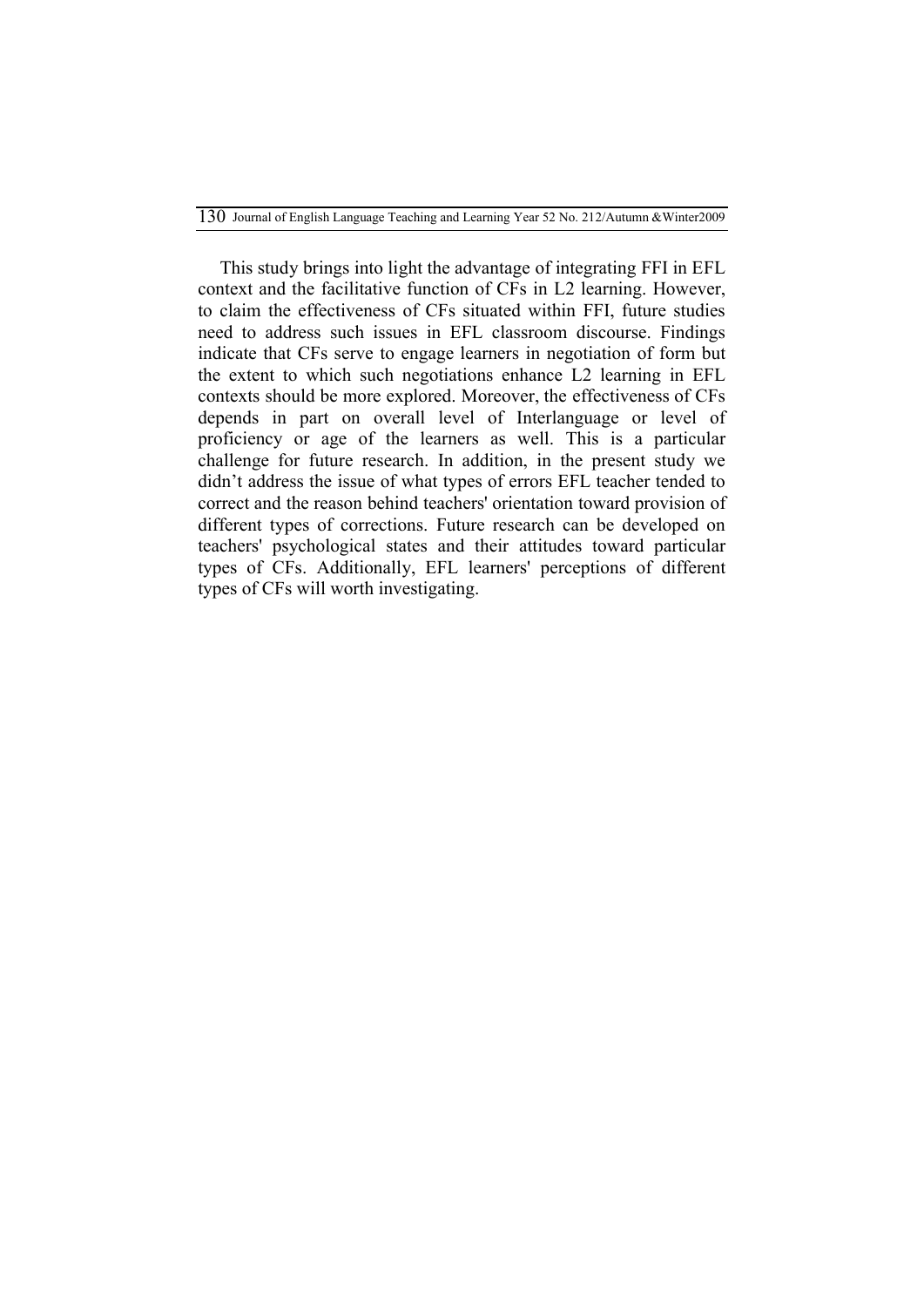130Journal of English Language Teaching and Learning Year 52 No. 212/Autumn &Winter2009

This study brings into light the advantage of integrating FFI in EFL context and the facilitative function of CFs in L2 learning. However, to claim the effectiveness of CFs situated within FFI, future studies need to address such issues in EFL classroom discourse. Findings indicate that CFs serve to engage learners in negotiation of form but the extent to which such negotiations enhance L2 learning in EFL contexts should be more explored. Moreover, the effectiveness of CFs depends in part on overall level of Interlanguage or level of proficiency or age of the learners as well. This is a particular challenge for future research. In addition, in the present study we didn't address the issue of what types of errors EFL teacher tended to correct and the reason behind teachers' orientation toward provision of different types of corrections. Future research can be developed on teachers' psychological states and their attitudes toward particular types of CFs. Additionally, EFL learners' perceptions of different types of CFs will worth investigating.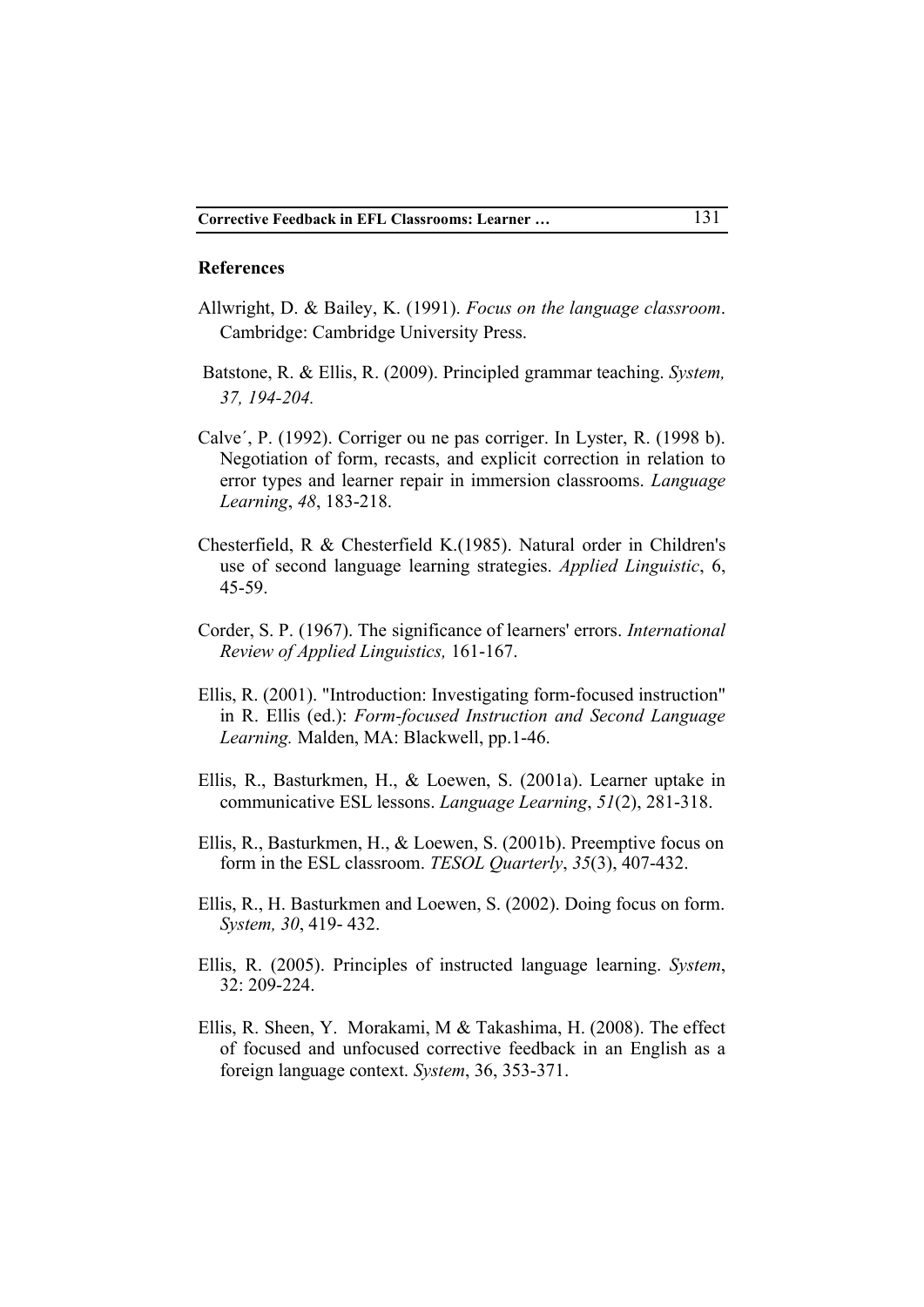#### **References**

- Allwright, D. & Bailey, K. (1991). *Focus on the language classroom*. Cambridge: Cambridge University Press.
- Batstone, R. & Ellis, R. (2009). Principled grammar teaching. *System, 37, 194-204.*
- Calve´, P. (1992). Corriger ou ne pas corriger. In Lyster, R. (1998 b). Negotiation of form, recasts, and explicit correction in relation to error types and learner repair in immersion classrooms. *Language Learning*, *48*, 183-218.
- Chesterfield, R & Chesterfield K.(1985). Natural order in Children's use of second language learning strategies. *Applied Linguistic*, 6, 45-59.
- Corder, S. P. (1967). The significance of learners' errors. *International Review of Applied Linguistics,* 161-167.
- Ellis, R. (2001). "Introduction: Investigating form-focused instruction" in R. Ellis (ed.): *Form-focused Instruction and Second Language Learning.* Malden, MA: Blackwell, pp.1-46.
- Ellis, R., Basturkmen, H., & Loewen, S. (2001a). Learner uptake in communicative ESL lessons. *Language Learning*, *51*(2), 281-318.
- Ellis, R., Basturkmen, H., & Loewen, S. (2001b). Preemptive focus on form in the ESL classroom. *TESOL Quarterly*, *35*(3), 407-432.
- Ellis, R., H. Basturkmen and Loewen, S. (2002). Doing focus on form. *System, 30*, 419- 432.
- Ellis, R. (2005). Principles of instructed language learning. *System*, 32: 209-224.
- Ellis, R. Sheen, Y. Morakami, M & Takashima, H. (2008). The effect of focused and unfocused corrective feedback in an English as a foreign language context. *System*, 36, 353-371.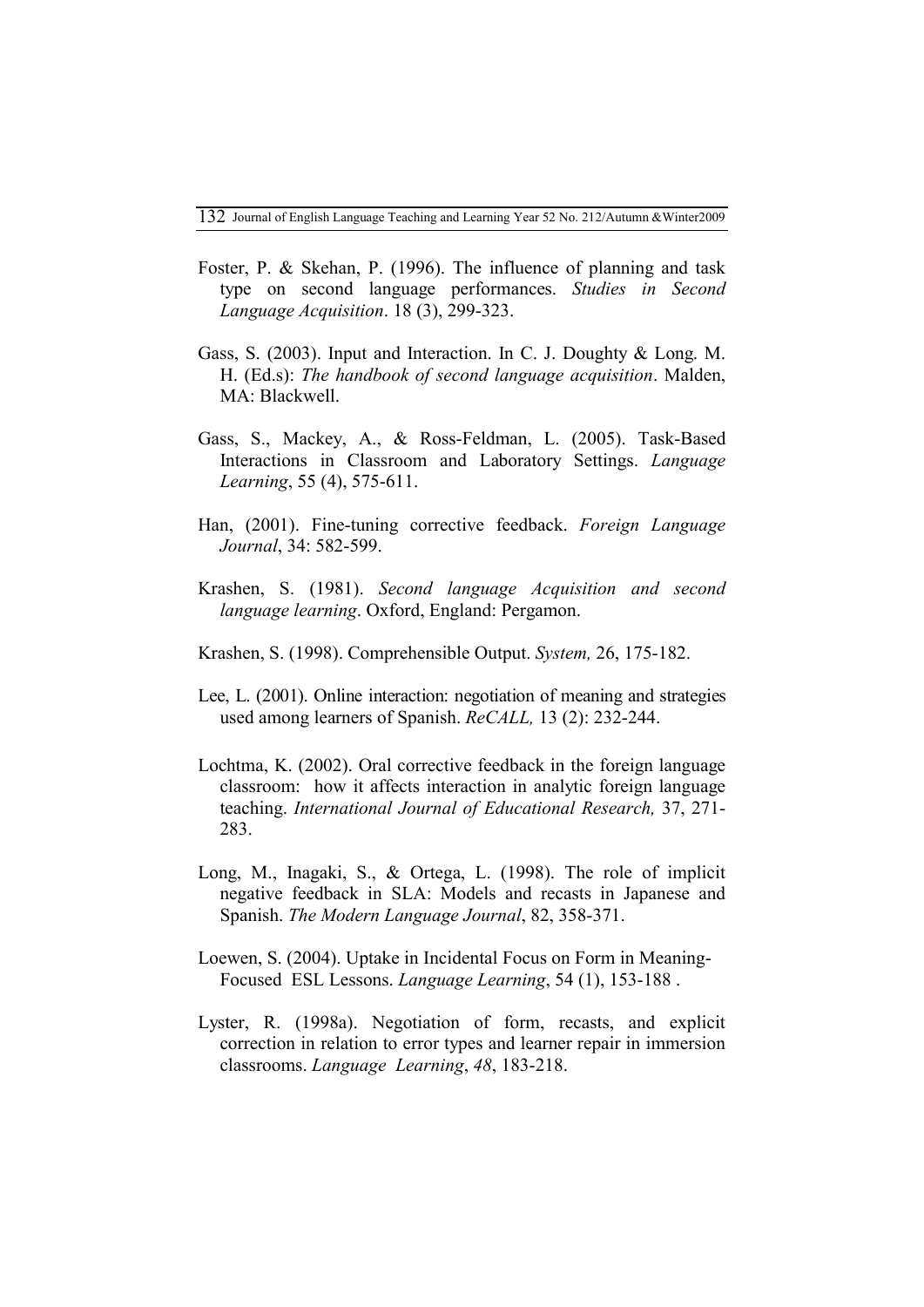- Foster, P. & Skehan, P. (1996). The influence of planning and task type on second language performances. *Studies in Second Language Acquisition*. 18 (3), 299-323.
- Gass, S. (2003). Input and Interaction. In C. J. Doughty & Long. M. H. (Ed.s): *The handbook of second language acquisition*. Malden, MA: Blackwell.
- Gass, S., Mackey, A., & Ross-Feldman, L. (2005). Task-Based Interactions in Classroom and Laboratory Settings. *Language Learning*, 55 (4), 575-611.
- Han, (2001). Fine-tuning corrective feedback. *Foreign Language Journal*, 34: 582-599.
- Krashen, S. (1981). *Second language Acquisition and second language learning*. Oxford, England: Pergamon.
- Krashen, S. (1998). Comprehensible Output. *System,* 26, 175-182.
- Lee, L. (2001). Online interaction: negotiation of meaning and strategies used among learners of Spanish. *ReCALL,* 13 (2): 232-244.
- Lochtma, K. (2002). Oral corrective feedback in the foreign language classroom: how it affects interaction in analytic foreign language teaching. *International Journal of Educational Research,* 37, 271- 283.
- Long, M., Inagaki, S., & Ortega, L. (1998). The role of implicit negative feedback in SLA: Models and recasts in Japanese and Spanish. *The Modern Language Journal*, 82, 358-371.
- Loewen, S. (2004). Uptake in Incidental Focus on Form in Meaning-Focused ESL Lessons. *Language Learning*, 54 (1), 153-188 .
- Lyster, R. (1998a). Negotiation of form, recasts, and explicit correction in relation to error types and learner repair in immersion classrooms. *Language Learning*, *48*, 183-218.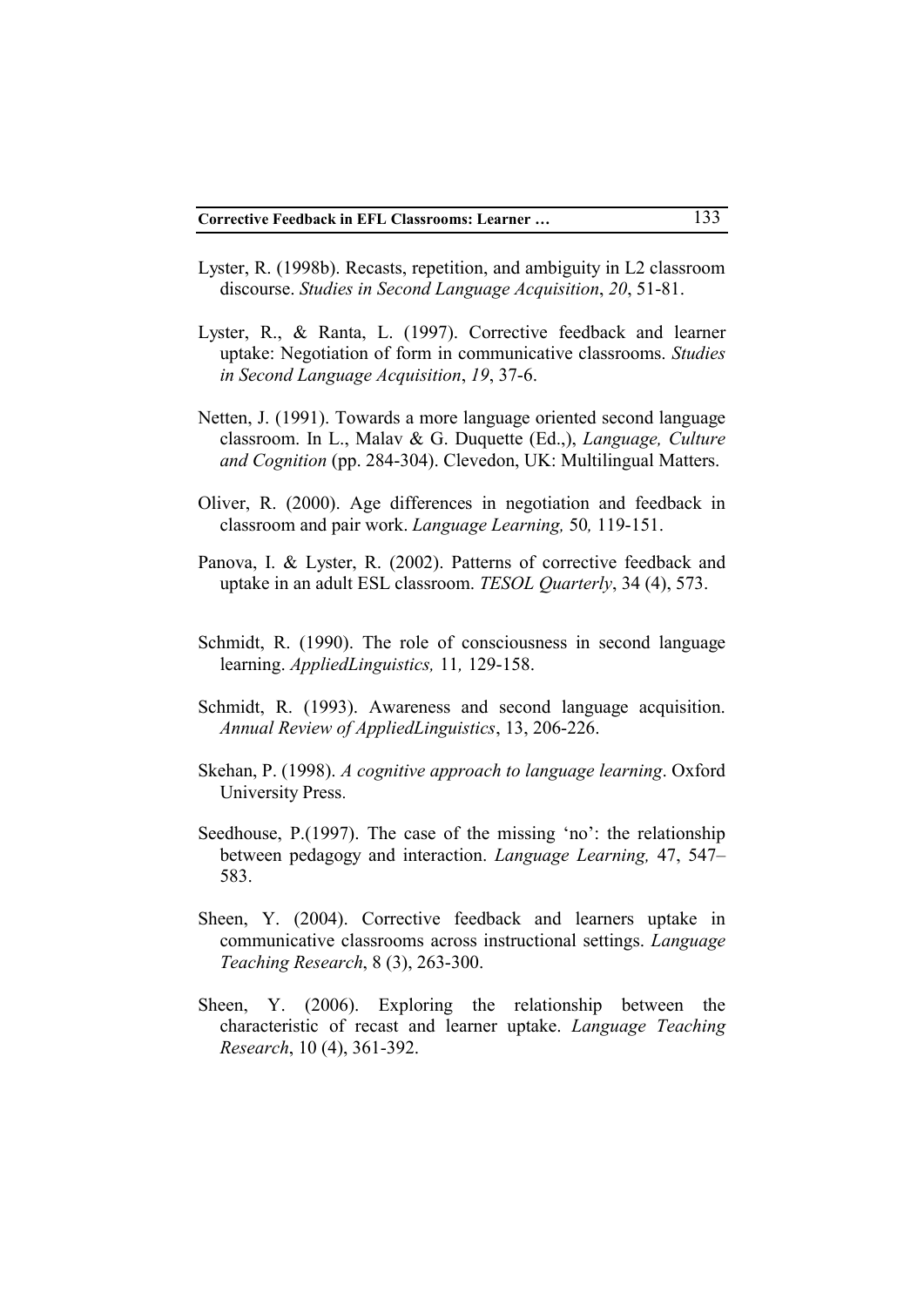- Lyster, R. (1998b). Recasts, repetition, and ambiguity in L2 classroom discourse. *Studies in Second Language Acquisition*, *20*, 51-81.
- Lyster, R., & Ranta, L. (1997). Corrective feedback and learner uptake: Negotiation of form in communicative classrooms. *Studies in Second Language Acquisition*, *19*, 37-6.
- Netten, J. (1991). Towards a more language oriented second language classroom. In L., Malav & G. Duquette (Ed.,), *Language, Culture and Cognition* (pp. 284-304). Clevedon, UK: Multilingual Matters.
- Oliver, R. (2000). Age differences in negotiation and feedback in classroom and pair work. *Language Learning,* 50*,* 119-151.
- Panova, I. & Lyster, R. (2002). Patterns of corrective feedback and uptake in an adult ESL classroom. *TESOL Quarterly*, 34 (4), 573.
- Schmidt, R. (1990). The role of consciousness in second language learning. *AppliedLinguistics,* 11*,* 129-158.
- Schmidt, R. (1993). Awareness and second language acquisition. *Annual Review of AppliedLinguistics*, 13, 206-226.
- Skehan, P. (1998). *A cognitive approach to language learning*. Oxford University Press.
- Seedhouse, P.(1997). The case of the missing 'no': the relationship between pedagogy and interaction. *Language Learning,* 47, 547– 583.
- Sheen, Y. (2004). Corrective feedback and learners uptake in communicative classrooms across instructional settings. *Language Teaching Research*, 8 (3), 263-300.
- Sheen, Y. (2006). Exploring the relationship between the characteristic of recast and learner uptake. *Language Teaching Research*, 10 (4), 361-392.